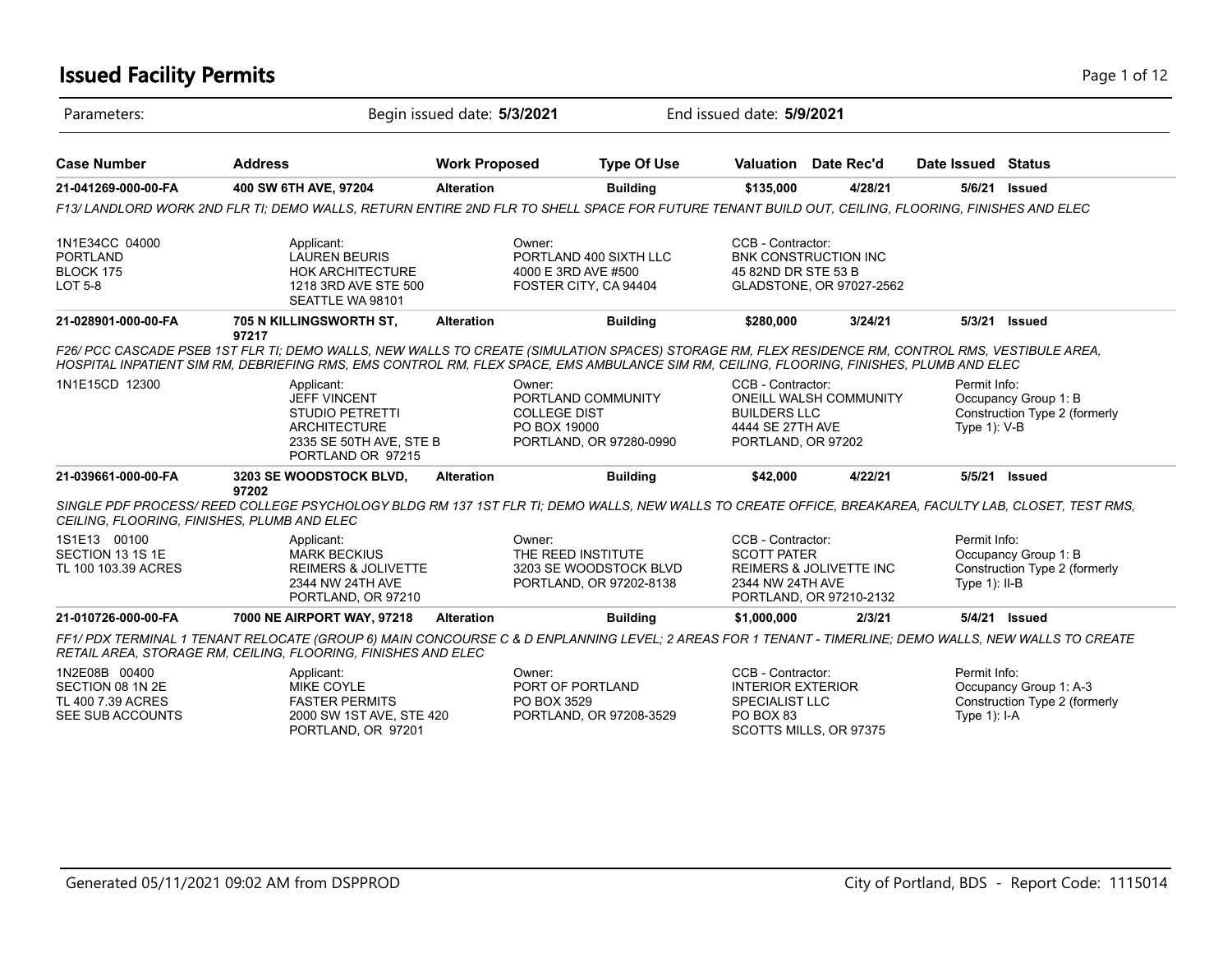### **Issued Facility Permits** Page 1 of 12

| Parameters:                                                                |                                                                                                                                                                                                                                                                                                       | Begin issued date: 5/3/2021 | End issued date: 5/9/2021                                                            |                                                                                     |                                                         |                                  |                                                         |
|----------------------------------------------------------------------------|-------------------------------------------------------------------------------------------------------------------------------------------------------------------------------------------------------------------------------------------------------------------------------------------------------|-----------------------------|--------------------------------------------------------------------------------------|-------------------------------------------------------------------------------------|---------------------------------------------------------|----------------------------------|---------------------------------------------------------|
| <b>Case Number</b>                                                         | <b>Address</b>                                                                                                                                                                                                                                                                                        | <b>Work Proposed</b>        | <b>Type Of Use</b>                                                                   |                                                                                     | <b>Valuation</b> Date Rec'd                             | Date Issued Status               |                                                         |
| 21-041269-000-00-FA                                                        | 400 SW 6TH AVE, 97204                                                                                                                                                                                                                                                                                 | <b>Alteration</b>           | <b>Building</b>                                                                      | \$135,000                                                                           | 4/28/21                                                 | 5/6/21                           | <b>Issued</b>                                           |
|                                                                            | F13/ LANDLORD WORK 2ND FLR TI; DEMO WALLS, RETURN ENTIRE 2ND FLR TO SHELL SPACE FOR FUTURE TENANT BUILD OUT, CEILING, FLOORING, FINISHES AND ELEC                                                                                                                                                     |                             |                                                                                      |                                                                                     |                                                         |                                  |                                                         |
| 1N1E34CC 04000<br><b>PORTLAND</b><br>BLOCK 175<br><b>LOT 5-8</b>           | Applicant:<br><b>LAUREN BEURIS</b><br><b>HOK ARCHITECTURE</b><br>1218 3RD AVE STE 500<br>SEATTLE WA 98101                                                                                                                                                                                             | Owner:                      | PORTLAND 400 SIXTH LLC<br>4000 E 3RD AVE #500<br>FOSTER CITY, CA 94404               | CCB - Contractor:<br>45 82ND DR STE 53 B                                            | <b>BNK CONSTRUCTION INC</b><br>GLADSTONE, OR 97027-2562 |                                  |                                                         |
| 21-028901-000-00-FA                                                        | 705 N KILLINGSWORTH ST,                                                                                                                                                                                                                                                                               | <b>Alteration</b>           | <b>Building</b>                                                                      | \$280,000                                                                           | 3/24/21                                                 | 5/3/21                           | Issued                                                  |
|                                                                            | 97217<br>F26/PCC CASCADE PSEB 1ST FLR TI; DEMO WALLS, NEW WALLS TO CREATE (SIMULATION SPACES) STORAGE RM, FLEX RESIDENCE RM, CONTROL RMS, VESTIBULE AREA,<br>HOSPITAL INPATIENT SIM RM, DEBRIEFING RMS, EMS CONTROL RM, FLEX SPACE, EMS AMBULANCE SIM RM, CEILING, FLOORING, FINISHES, PLUMB AND ELEC |                             |                                                                                      |                                                                                     |                                                         |                                  |                                                         |
| 1N1E15CD 12300                                                             | Applicant:<br><b>JEFF VINCENT</b><br><b>STUDIO PETRETTI</b><br><b>ARCHITECTURE</b><br>2335 SE 50TH AVE, STE B<br>PORTLAND OR 97215                                                                                                                                                                    | Owner:                      | PORTLAND COMMUNITY<br><b>COLLEGE DIST</b><br>PO BOX 19000<br>PORTLAND, OR 97280-0990 | CCB - Contractor:<br><b>BUILDERS LLC</b><br>4444 SE 27TH AVE<br>PORTLAND, OR 97202  | <b>ONEILL WALSH COMMUNITY</b>                           | Permit Info:<br>Type 1): V-B     | Occupancy Group 1: B<br>Construction Type 2 (formerly   |
| 21-039661-000-00-FA                                                        | 3203 SE WOODSTOCK BLVD,                                                                                                                                                                                                                                                                               | <b>Alteration</b>           | <b>Building</b>                                                                      | \$42,000                                                                            | 4/22/21                                                 |                                  | 5/5/21 <b>Issued</b>                                    |
| CEILING, FLOORING, FINISHES, PLUMB AND ELEC                                | 97202<br>SINGLE PDF PROCESS/REED COLLEGE PSYCHOLOGY BLDG RM 137 1ST FLR TI; DEMO WALLS, NEW WALLS TO CREATE OFFICE, BREAKAREA, FACULTY LAB, CLOSET, TEST RMS,                                                                                                                                         |                             |                                                                                      |                                                                                     |                                                         |                                  |                                                         |
| 1S1E13 00100<br>SECTION 13 1S 1E<br>TL 100 103.39 ACRES                    | Applicant:<br><b>MARK BECKIUS</b><br><b>REIMERS &amp; JOLIVETTE</b><br>2344 NW 24TH AVE<br>PORTLAND, OR 97210                                                                                                                                                                                         | Owner:                      | THE REED INSTITUTE<br>3203 SE WOODSTOCK BLVD<br>PORTLAND, OR 97202-8138              | CCB - Contractor:<br><b>SCOTT PATER</b><br>2344 NW 24TH AVE                         | REIMERS & JOLIVETTE INC<br>PORTLAND, OR 97210-2132      | Permit Info:<br>Type $1$ ): II-B | Occupancy Group 1: B<br>Construction Type 2 (formerly   |
| 21-010726-000-00-FA                                                        | 7000 NE AIRPORT WAY, 97218                                                                                                                                                                                                                                                                            | <b>Alteration</b>           | <b>Building</b>                                                                      | \$1,000,000                                                                         | 2/3/21                                                  |                                  | 5/4/21 Issued                                           |
|                                                                            | FF1/ PDX TERMINAL 1 TENANT RELOCATE (GROUP 6) MAIN CONCOURSE C & D ENPLANNING LEVEL; 2 AREAS FOR 1 TENANT - TIMERLINE; DEMO WALLS, NEW WALLS TO CREATE<br>RETAIL AREA, STORAGE RM, CEILING, FLOORING, FINISHES AND ELEC                                                                               |                             |                                                                                      |                                                                                     |                                                         |                                  |                                                         |
| 1N2E08B 00400<br>SECTION 08 1N 2E<br>TL 400 7.39 ACRES<br>SEE SUB ACCOUNTS | Applicant:<br><b>MIKE COYLE</b><br><b>FASTER PERMITS</b><br>2000 SW 1ST AVE, STE 420<br>PORTLAND, OR 97201                                                                                                                                                                                            | Owner:<br>PO BOX 3529       | PORT OF PORTLAND<br>PORTLAND, OR 97208-3529                                          | CCB - Contractor:<br><b>INTERIOR EXTERIOR</b><br><b>SPECIALIST LLC</b><br>PO BOX 83 | SCOTTS MILLS, OR 97375                                  | Permit Info:<br>Type $1$ : I-A   | Occupancy Group 1: A-3<br>Construction Type 2 (formerly |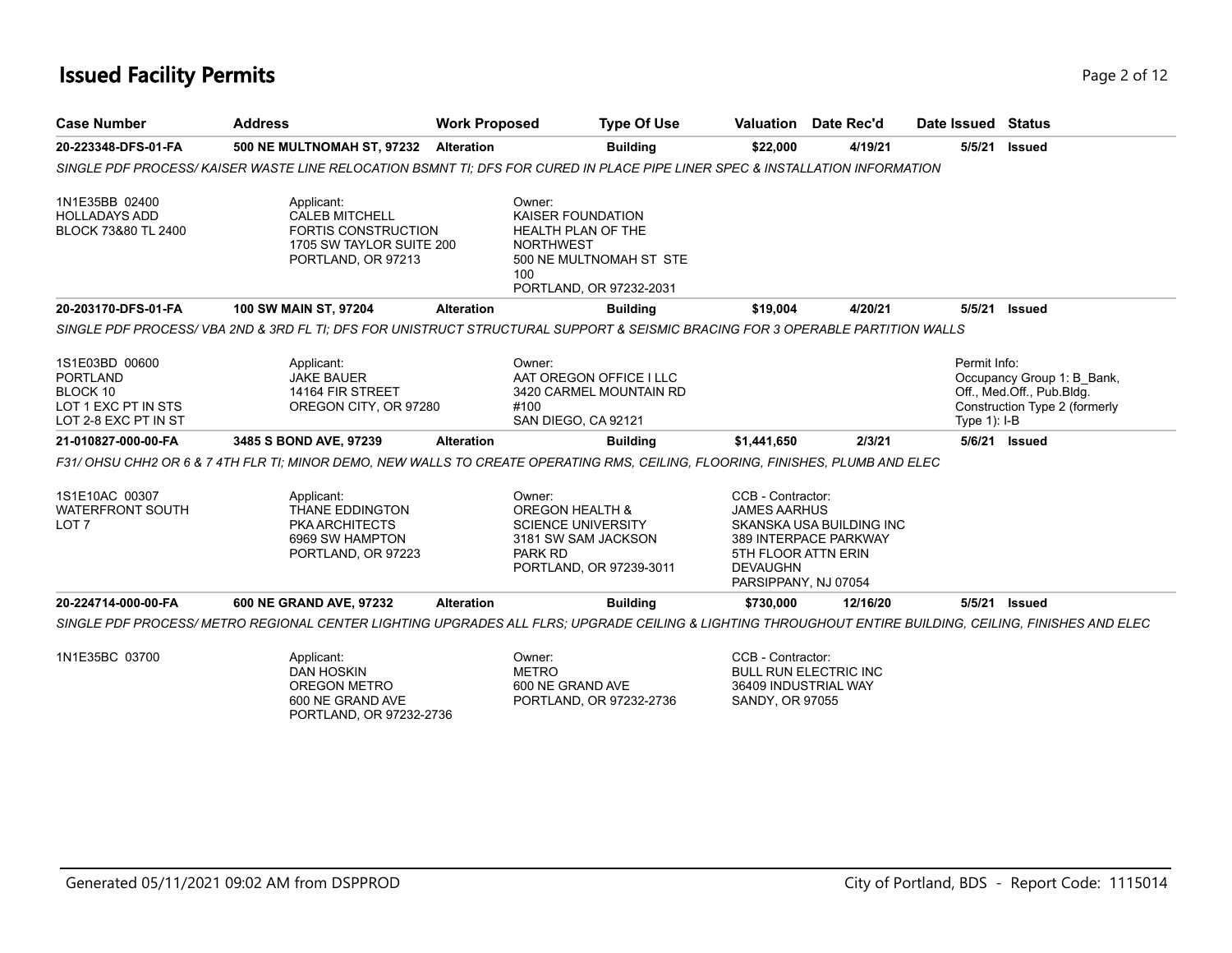## **Issued Facility Permits** Page 2 of 12

| <b>Case Number</b>                                                                    | <b>Address</b>                                                                                                                                          | <b>Work Proposed</b> |                                                                                                                                                  | <b>Type Of Use</b> |                                                                                                            | Valuation Date Rec'd                              | Date Issued Status             |                                                                                          |
|---------------------------------------------------------------------------------------|---------------------------------------------------------------------------------------------------------------------------------------------------------|----------------------|--------------------------------------------------------------------------------------------------------------------------------------------------|--------------------|------------------------------------------------------------------------------------------------------------|---------------------------------------------------|--------------------------------|------------------------------------------------------------------------------------------|
| 20-223348-DFS-01-FA                                                                   | <b>500 NE MULTNOMAH ST, 97232</b>                                                                                                                       | <b>Alteration</b>    |                                                                                                                                                  | <b>Building</b>    | \$22,000                                                                                                   | 4/19/21                                           | 5/5/21                         | <b>Issued</b>                                                                            |
|                                                                                       | SINGLE PDF PROCESS/ KAISER WASTE LINE RELOCATION BSMNT TI: DFS FOR CURED IN PLACE PIPE LINER SPEC & INSTALLATION INFORMATION                            |                      |                                                                                                                                                  |                    |                                                                                                            |                                                   |                                |                                                                                          |
| 1N1E35BB 02400<br><b>HOLLADAYS ADD</b><br>BLOCK 73&80 TL 2400                         | Applicant:<br><b>CALEB MITCHELL</b><br><b>FORTIS CONSTRUCTION</b><br>1705 SW TAYLOR SUITE 200<br>PORTLAND, OR 97213                                     |                      | Owner:<br><b>KAISER FOUNDATION</b><br><b>HEALTH PLAN OF THE</b><br><b>NORTHWEST</b><br>500 NE MULTNOMAH ST STE<br>100<br>PORTLAND, OR 97232-2031 |                    |                                                                                                            |                                                   |                                |                                                                                          |
| 20-203170-DFS-01-FA                                                                   | 100 SW MAIN ST, 97204                                                                                                                                   | <b>Alteration</b>    |                                                                                                                                                  | <b>Building</b>    | \$19,004                                                                                                   | 4/20/21                                           | 5/5/21                         | <b>Issued</b>                                                                            |
|                                                                                       | SINGLE PDF PROCESS/ VBA 2ND & 3RD FL TI: DFS FOR UNISTRUCT STRUCTURAL SUPPORT & SEISMIC BRACING FOR 3 OPERABLE PARTITION WALLS                          |                      |                                                                                                                                                  |                    |                                                                                                            |                                                   |                                |                                                                                          |
| 1S1E03BD 00600<br>PORTLAND<br>BLOCK 10<br>LOT 1 EXC PT IN STS<br>LOT 2-8 EXC PT IN ST | Applicant:<br><b>JAKE BAUER</b><br>14164 FIR STREET<br>OREGON CITY, OR 97280                                                                            |                      | Owner:<br>AAT OREGON OFFICE I LLC<br>3420 CARMEL MOUNTAIN RD<br>#100<br>SAN DIEGO, CA 92121                                                      |                    |                                                                                                            |                                                   | Permit Info:<br>Type $1$ : I-B | Occupancy Group 1: B Bank,<br>Off., Med.Off., Pub.Bldg.<br>Construction Type 2 (formerly |
| 21-010827-000-00-FA                                                                   | 3485 S BOND AVE, 97239                                                                                                                                  | <b>Alteration</b>    |                                                                                                                                                  | <b>Building</b>    | \$1,441,650                                                                                                | 2/3/21                                            |                                | 5/6/21 Issued                                                                            |
|                                                                                       | F31/ OHSU CHH2 OR 6 & 7 4TH FLR TI; MINOR DEMO, NEW WALLS TO CREATE OPERATING RMS, CEILING, FLOORING, FINISHES, PLUMB AND ELEC                          |                      |                                                                                                                                                  |                    |                                                                                                            |                                                   |                                |                                                                                          |
| 1S1E10AC 00307<br><b>WATERFRONT SOUTH</b><br>LOT <sub>7</sub>                         | Applicant:<br>THANE EDDINGTON<br>PKA ARCHITECTS<br>6969 SW HAMPTON<br>PORTLAND, OR 97223                                                                |                      | Owner:<br><b>OREGON HEALTH &amp;</b><br><b>SCIENCE UNIVERSITY</b><br>3181 SW SAM JACKSON<br>PARK RD<br>PORTLAND, OR 97239-3011                   |                    | CCB - Contractor:<br><b>JAMES AARHUS</b><br>5TH FLOOR ATTN ERIN<br><b>DEVAUGHN</b><br>PARSIPPANY, NJ 07054 | SKANSKA USA BUILDING INC<br>389 INTERPACE PARKWAY |                                |                                                                                          |
| 20-224714-000-00-FA                                                                   | 600 NE GRAND AVE, 97232                                                                                                                                 | <b>Alteration</b>    |                                                                                                                                                  | <b>Building</b>    | \$730,000                                                                                                  | 12/16/20                                          |                                | 5/5/21 <b>Issued</b>                                                                     |
|                                                                                       | SINGLE PDF PROCESS/ METRO REGIONAL CENTER LIGHTING UPGRADES ALL FLRS: UPGRADE CEILING & LIGHTING THROUGHOUT ENTIRE BUILDING, CEILING, FINISHES AND ELEC |                      |                                                                                                                                                  |                    |                                                                                                            |                                                   |                                |                                                                                          |
| 1N1E35BC 03700                                                                        | Applicant:<br><b>DAN HOSKIN</b><br><b>OREGON METRO</b><br>600 NE GRAND AVE<br>PORTLAND, OR 97232-2736                                                   |                      | Owner:<br><b>METRO</b><br>600 NE GRAND AVE<br>PORTLAND, OR 97232-2736                                                                            |                    | CCB - Contractor:<br><b>BULL RUN ELECTRIC INC</b><br>36409 INDUSTRIAL WAY<br><b>SANDY, OR 97055</b>        |                                                   |                                |                                                                                          |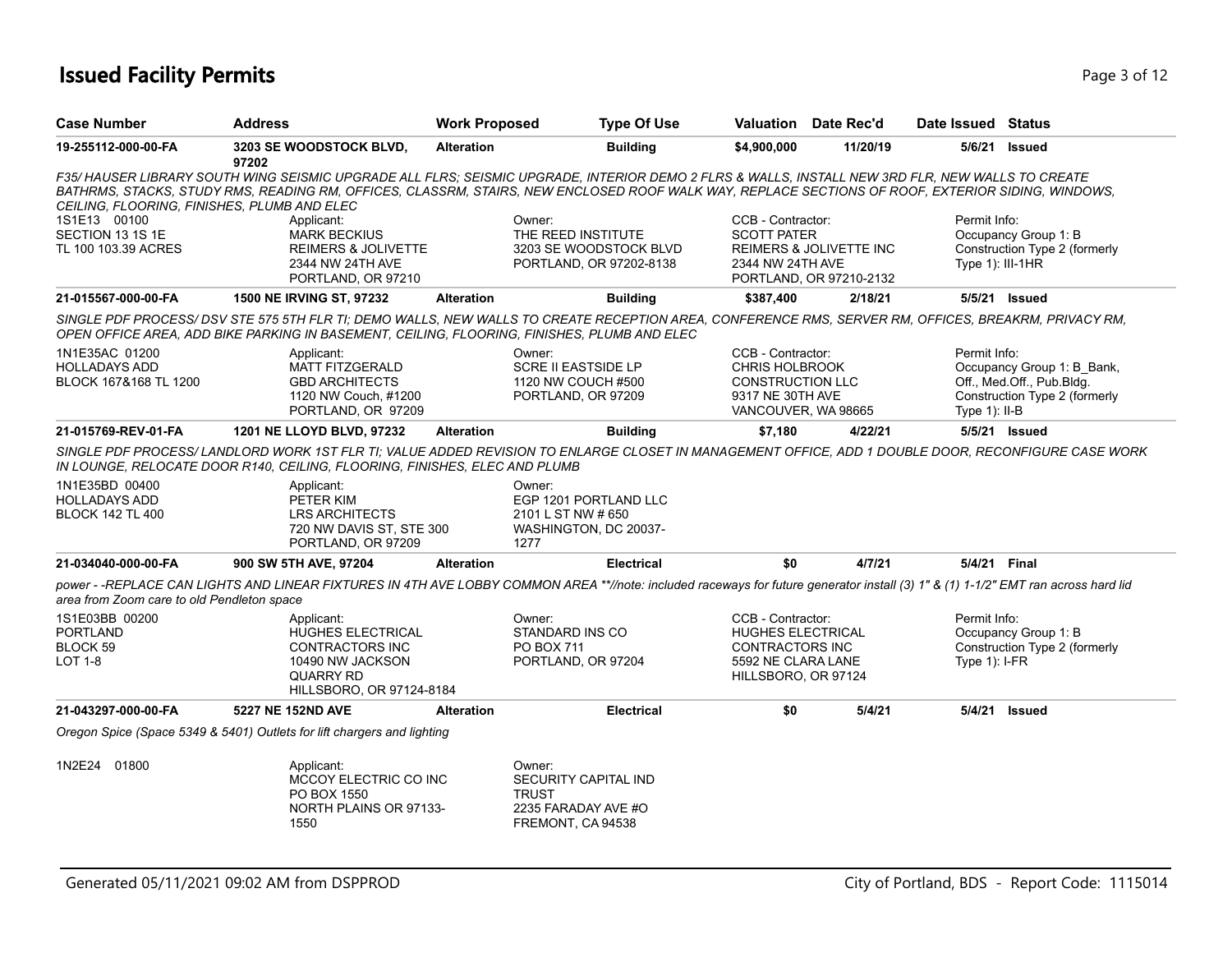### **Issued Facility Permits** Page 1 of 12

| <b>Case Number</b>                                                | <b>Address</b>                                                                                                                | <b>Work Proposed</b> | <b>Type Of Use</b>                                                                                                                                                                                                                                                                                   |                                                                                                                  | Valuation Date Rec'd                               | Date Issued Status               |                                                                                          |
|-------------------------------------------------------------------|-------------------------------------------------------------------------------------------------------------------------------|----------------------|------------------------------------------------------------------------------------------------------------------------------------------------------------------------------------------------------------------------------------------------------------------------------------------------------|------------------------------------------------------------------------------------------------------------------|----------------------------------------------------|----------------------------------|------------------------------------------------------------------------------------------|
| 19-255112-000-00-FA                                               | 3203 SE WOODSTOCK BLVD,<br>97202                                                                                              | <b>Alteration</b>    | <b>Building</b>                                                                                                                                                                                                                                                                                      | \$4,900,000                                                                                                      | 11/20/19                                           |                                  | 5/6/21 Issued                                                                            |
| CEILING, FLOORING, FINISHES, PLUMB AND ELEC                       |                                                                                                                               |                      | F35/HAUSER LIBRARY SOUTH WING SEISMIC UPGRADE ALL FLRS; SEISMIC UPGRADE, INTERIOR DEMO 2 FLRS & WALLS, INSTALL NEW 3RD FLR, NEW WALLS TO CREATE<br>BATHRMS, STACKS, STUDY RMS, READING RM, OFFICES, CLASSRM, STAIRS, NEW ENCLOSED ROOF WALK WAY, REPLACE SECTIONS OF ROOF, EXTERIOR SIDING, WINDOWS, |                                                                                                                  |                                                    |                                  |                                                                                          |
| 1S1E13 00100<br>SECTION 13 1S 1E<br>TL 100 103.39 ACRES           | Applicant:<br><b>MARK BECKIUS</b><br>REIMERS & JOLIVETTE<br>2344 NW 24TH AVE<br>PORTLAND, OR 97210                            |                      | Owner:<br>THE REED INSTITUTE<br>3203 SE WOODSTOCK BLVD<br>PORTLAND, OR 97202-8138                                                                                                                                                                                                                    | CCB - Contractor:<br><b>SCOTT PATER</b><br>2344 NW 24TH AVE                                                      | REIMERS & JOLIVETTE INC<br>PORTLAND, OR 97210-2132 | Permit Info:<br>Type 1): III-1HR | Occupancy Group 1: B<br>Construction Type 2 (formerly                                    |
| 21-015567-000-00-FA                                               | 1500 NE IRVING ST, 97232                                                                                                      | <b>Alteration</b>    | <b>Building</b>                                                                                                                                                                                                                                                                                      | \$387,400                                                                                                        | 2/18/21                                            |                                  | 5/5/21 Issued                                                                            |
|                                                                   | OPEN OFFICE AREA, ADD BIKE PARKING IN BASEMENT, CEILING, FLOORING, FINISHES, PLUMB AND ELEC                                   |                      | SINGLE PDF PROCESS/DSV STE 575 5TH FLR TI; DEMO WALLS, NEW WALLS TO CREATE RECEPTION AREA, CONFERENCE RMS, SERVER RM, OFFICES, BREAKRM, PRIVACY RM,                                                                                                                                                  |                                                                                                                  |                                                    |                                  |                                                                                          |
| 1N1E35AC 01200<br><b>HOLLADAYS ADD</b><br>BLOCK 167&168 TL 1200   | Applicant:<br><b>MATT FITZGERALD</b><br><b>GBD ARCHITECTS</b><br>1120 NW Couch, #1200<br>PORTLAND, OR 97209                   |                      | Owner:<br><b>SCRE II EASTSIDE LP</b><br>1120 NW COUCH #500<br>PORTLAND, OR 97209                                                                                                                                                                                                                     | CCB - Contractor:<br><b>CHRIS HOLBROOK</b><br><b>CONSTRUCTION LLC</b><br>9317 NE 30TH AVE<br>VANCOUVER, WA 98665 |                                                    | Permit Info:<br>Type $1$ ): II-B | Occupancy Group 1: B Bank,<br>Off., Med.Off., Pub.Bldg.<br>Construction Type 2 (formerly |
| 21-015769-REV-01-FA                                               | <b>1201 NE LLOYD BLVD, 97232</b>                                                                                              | <b>Alteration</b>    | <b>Building</b>                                                                                                                                                                                                                                                                                      | \$7,180                                                                                                          | 4/22/21                                            |                                  | 5/5/21 <b>Issued</b>                                                                     |
|                                                                   | IN LOUNGE, RELOCATE DOOR R140, CEILING, FLOORING, FINISHES, ELEC AND PLUMB                                                    |                      | SINGLE PDF PROCESS/LANDLORD WORK 1ST FLR TI; VALUE ADDED REVISION TO ENLARGE CLOSET IN MANAGEMENT OFFICE, ADD 1 DOUBLE DOOR, RECONFIGURE CASE WORK                                                                                                                                                   |                                                                                                                  |                                                    |                                  |                                                                                          |
| 1N1E35BD 00400<br><b>HOLLADAYS ADD</b><br><b>BLOCK 142 TL 400</b> | Applicant:<br>PETER KIM<br><b>LRS ARCHITECTS</b><br>720 NW DAVIS ST, STE 300<br>PORTLAND, OR 97209                            |                      | Owner:<br>EGP 1201 PORTLAND LLC<br>2101 L ST NW # 650<br>WASHINGTON, DC 20037-<br>1277                                                                                                                                                                                                               |                                                                                                                  |                                                    |                                  |                                                                                          |
| 21-034040-000-00-FA                                               | 900 SW 5TH AVE, 97204                                                                                                         | <b>Alteration</b>    | <b>Electrical</b>                                                                                                                                                                                                                                                                                    | \$0                                                                                                              | 4/7/21                                             | 5/4/21 Final                     |                                                                                          |
| area from Zoom care to old Pendleton space                        |                                                                                                                               |                      | power - -REPLACE CAN LIGHTS AND LINEAR FIXTURES IN 4TH AVE LOBBY COMMON AREA **//note: included raceways for future generator install (3) 1" & (1) 1-1/2" EMT ran across hard lid                                                                                                                    |                                                                                                                  |                                                    |                                  |                                                                                          |
| 1S1E03BB 00200<br><b>PORTLAND</b><br>BLOCK 59<br><b>LOT 1-8</b>   | Applicant:<br><b>HUGHES ELECTRICAL</b><br>CONTRACTORS INC<br>10490 NW JACKSON<br><b>QUARRY RD</b><br>HILLSBORO, OR 97124-8184 |                      | Owner:<br>STANDARD INS CO<br>PO BOX 711<br>PORTLAND, OR 97204                                                                                                                                                                                                                                        | CCB - Contractor:<br><b>HUGHES ELECTRICAL</b><br>CONTRACTORS INC<br>5592 NE CLARA LANE<br>HILLSBORO, OR 97124    |                                                    | Permit Info:<br>Type $1$ : I-FR  | Occupancy Group 1: B<br>Construction Type 2 (formerly                                    |
| 21-043297-000-00-FA                                               | 5227 NE 152ND AVE                                                                                                             | <b>Alteration</b>    | <b>Electrical</b>                                                                                                                                                                                                                                                                                    | \$0                                                                                                              | 5/4/21                                             |                                  | 5/4/21 <b>Issued</b>                                                                     |
|                                                                   | Oregon Spice (Space 5349 & 5401) Outlets for lift chargers and lighting                                                       |                      |                                                                                                                                                                                                                                                                                                      |                                                                                                                  |                                                    |                                  |                                                                                          |
| 1N2E24 01800                                                      | Applicant:<br>MCCOY ELECTRIC CO INC<br>PO BOX 1550<br>NORTH PLAINS OR 97133-<br>1550                                          |                      | Owner:<br>SECURITY CAPITAL IND<br><b>TRUST</b><br>2235 FARADAY AVE #O<br>FREMONT, CA 94538                                                                                                                                                                                                           |                                                                                                                  |                                                    |                                  |                                                                                          |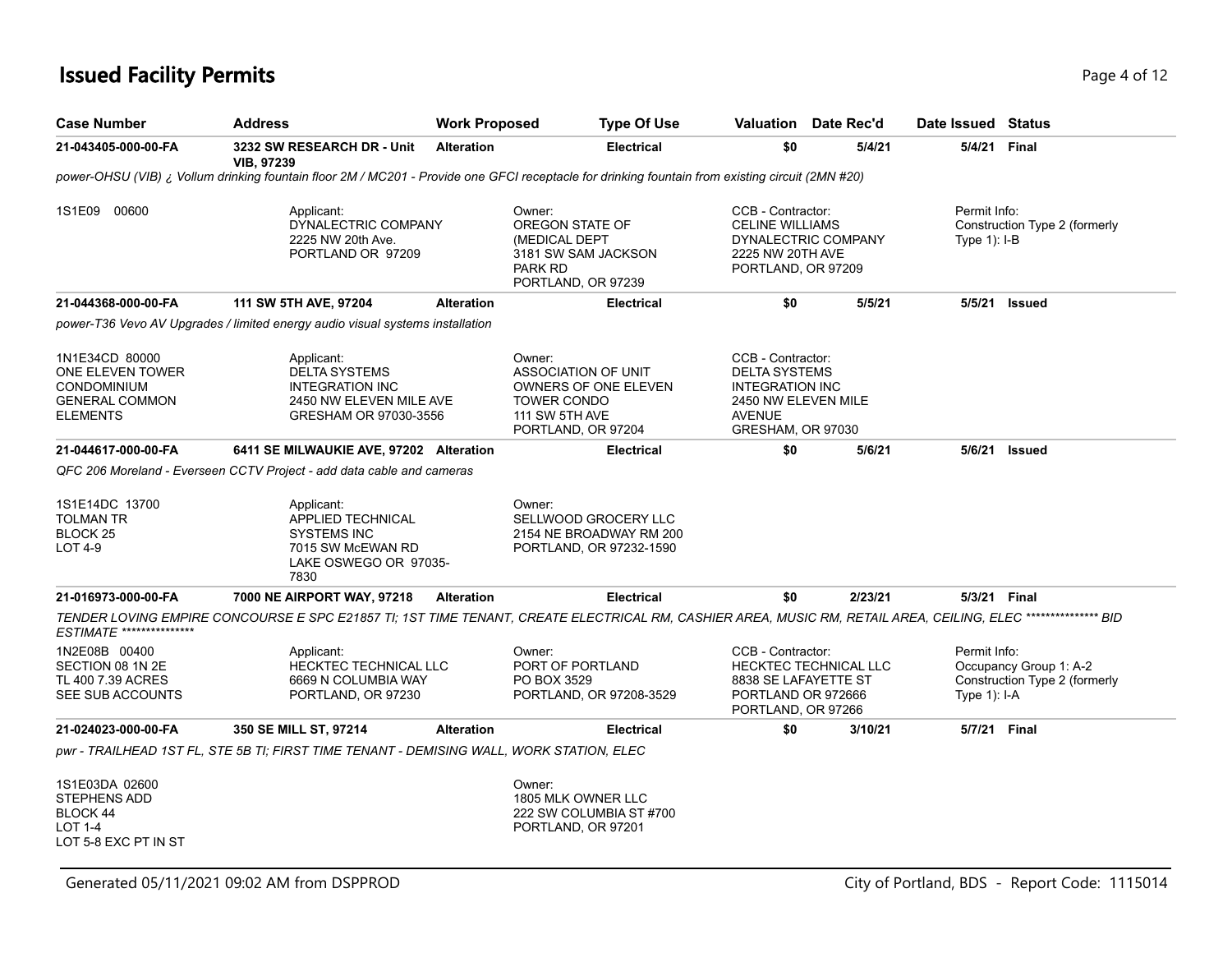### **Issued Facility Permits** Page 4 of 12

| <b>Case Number</b>                                                                                   | <b>Address</b>                                                                                                                                                 | <b>Work Proposed</b> |                                                                                                    | Type Of Use                                                                | Valuation                                                                                                                        | Date Rec'd | Date Issued Status              |                                                         |
|------------------------------------------------------------------------------------------------------|----------------------------------------------------------------------------------------------------------------------------------------------------------------|----------------------|----------------------------------------------------------------------------------------------------|----------------------------------------------------------------------------|----------------------------------------------------------------------------------------------------------------------------------|------------|---------------------------------|---------------------------------------------------------|
| 21-043405-000-00-FA                                                                                  | 3232 SW RESEARCH DR - Unit<br><b>VIB, 97239</b>                                                                                                                | <b>Alteration</b>    |                                                                                                    | <b>Electrical</b>                                                          | \$0                                                                                                                              | 5/4/21     |                                 | 5/4/21 Final                                            |
|                                                                                                      | power-OHSU (VIB) ¿ Vollum drinking fountain floor 2M / MC201 - Provide one GFCI receptacle for drinking fountain from existing circuit (2MN #20)               |                      |                                                                                                    |                                                                            |                                                                                                                                  |            |                                 |                                                         |
| 1S1E09 00600                                                                                         | Applicant:<br>DYNALECTRIC COMPANY<br>2225 NW 20th Ave.<br>PORTLAND OR 97209                                                                                    |                      | Owner:<br>OREGON STATE OF<br>(MEDICAL DEPT<br>3181 SW SAM JACKSON<br>PARK RD<br>PORTLAND, OR 97239 |                                                                            | CCB - Contractor:<br><b>CELINE WILLIAMS</b><br>DYNALECTRIC COMPANY<br>2225 NW 20TH AVE<br>PORTLAND, OR 97209                     |            | Permit Info:<br>Type $1$ ): I-B | Construction Type 2 (formerly                           |
| 21-044368-000-00-FA                                                                                  | 111 SW 5TH AVE, 97204                                                                                                                                          | <b>Alteration</b>    |                                                                                                    | <b>Electrical</b>                                                          | \$0                                                                                                                              | 5/5/21     |                                 | 5/5/21 Issued                                           |
|                                                                                                      | power-T36 Vevo AV Upgrades / limited energy audio visual systems installation                                                                                  |                      |                                                                                                    |                                                                            |                                                                                                                                  |            |                                 |                                                         |
| 1N1E34CD 80000<br>ONE ELEVEN TOWER<br><b>CONDOMINIUM</b><br><b>GENERAL COMMON</b><br><b>ELEMENTS</b> | Applicant:<br><b>DELTA SYSTEMS</b><br><b>INTEGRATION INC</b><br>2450 NW ELEVEN MILE AVE<br>GRESHAM OR 97030-3556                                               |                      | Owner:<br>ASSOCIATION OF UNIT<br><b>TOWER CONDO</b><br>111 SW 5TH AVE<br>PORTLAND, OR 97204        | OWNERS OF ONE ELEVEN                                                       | CCB - Contractor:<br><b>DELTA SYSTEMS</b><br><b>INTEGRATION INC</b><br>2450 NW ELEVEN MILE<br><b>AVENUE</b><br>GRESHAM, OR 97030 |            |                                 |                                                         |
| 21-044617-000-00-FA                                                                                  | 6411 SE MILWAUKIE AVE, 97202 Alteration                                                                                                                        |                      |                                                                                                    | <b>Electrical</b>                                                          | \$0                                                                                                                              | 5/6/21     |                                 | 5/6/21 <b>Issued</b>                                    |
|                                                                                                      | QFC 206 Moreland - Everseen CCTV Project - add data cable and cameras                                                                                          |                      |                                                                                                    |                                                                            |                                                                                                                                  |            |                                 |                                                         |
| 1S1E14DC 13700<br>TOLMAN TR<br>BLOCK <sub>25</sub><br>LOT 4-9                                        | Applicant:<br>APPLIED TECHNICAL<br><b>SYSTEMS INC</b><br>7015 SW McEWAN RD<br>LAKE OSWEGO OR 97035-<br>7830                                                    |                      | Owner:                                                                                             | SELLWOOD GROCERY LLC<br>2154 NE BROADWAY RM 200<br>PORTLAND, OR 97232-1590 |                                                                                                                                  |            |                                 |                                                         |
| 21-016973-000-00-FA                                                                                  | 7000 NE AIRPORT WAY, 97218                                                                                                                                     | <b>Alteration</b>    |                                                                                                    | <b>Electrical</b>                                                          | \$0                                                                                                                              | 2/23/21    |                                 | 5/3/21 Final                                            |
| ESTIMATE ***************                                                                             | TENDER LOVING EMPIRE CONCOURSE E SPC E21857 TI; 1ST TIME TENANT, CREATE ELECTRICAL RM, CASHIER AREA, MUSIC RM, RETAIL AREA, CEILING, ELEC **************** BID |                      |                                                                                                    |                                                                            |                                                                                                                                  |            |                                 |                                                         |
| 1N2E08B 00400<br>SECTION 08 1N 2E<br>TL 400 7.39 ACRES<br>SEE SUB ACCOUNTS                           | Applicant:<br><b>HECKTEC TECHNICAL LLC</b><br>6669 N COLUMBIA WAY<br>PORTLAND, OR 97230                                                                        |                      | Owner:<br>PORT OF PORTLAND<br>PO BOX 3529                                                          | PORTLAND, OR 97208-3529                                                    | CCB - Contractor:<br>HECKTEC TECHNICAL LLC<br>8838 SE LAFAYETTE ST<br>PORTLAND OR 972666<br>PORTLAND, OR 97266                   |            | Permit Info:<br>Type $1$ ): I-A | Occupancy Group 1: A-2<br>Construction Type 2 (formerly |
| 21-024023-000-00-FA                                                                                  | 350 SE MILL ST, 97214                                                                                                                                          | <b>Alteration</b>    |                                                                                                    | <b>Electrical</b>                                                          | \$0                                                                                                                              | 3/10/21    |                                 | 5/7/21 Final                                            |
|                                                                                                      | pwr - TRAILHEAD 1ST FL, STE 5B TI; FIRST TIME TENANT - DEMISING WALL, WORK STATION, ELEC                                                                       |                      |                                                                                                    |                                                                            |                                                                                                                                  |            |                                 |                                                         |
| 1S1E03DA 02600<br><b>STEPHENS ADD</b><br><b>BLOCK 44</b><br><b>LOT 1-4</b><br>LOT 5-8 EXC PT IN ST   |                                                                                                                                                                |                      | Owner:<br>1805 MLK OWNER LLC<br>PORTLAND, OR 97201                                                 | 222 SW COLUMBIA ST #700                                                    |                                                                                                                                  |            |                                 |                                                         |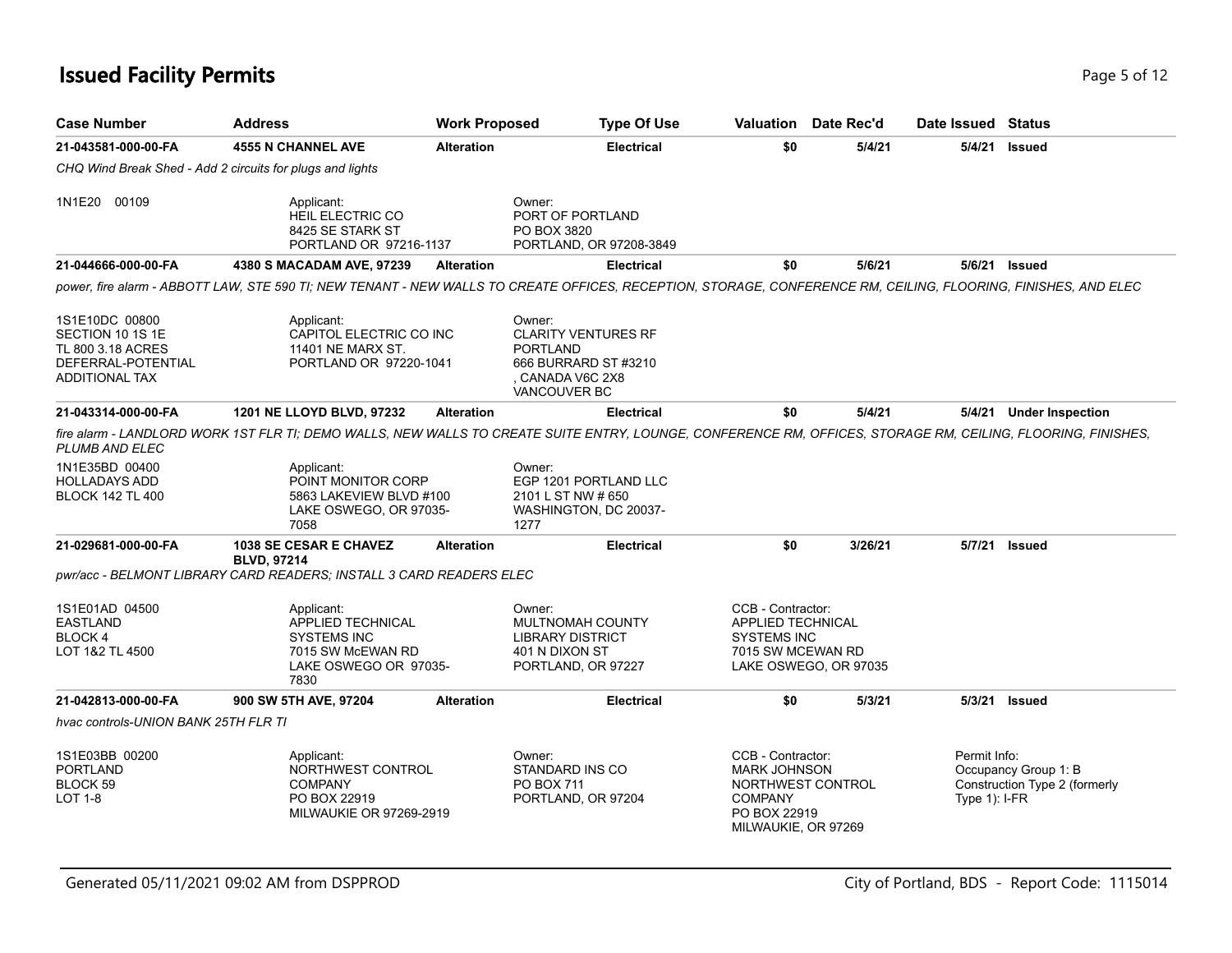### **Issued Facility Permits** Page 1 2 and 2 and 2 and 2 and 2 and 2 and 2 and 2 and 2 and 2 and 2 and 2 and 2 and 2 and 2 and 2 and 2 and 2 and 2 and 2 and 2 and 2 and 2 and 2 and 2 and 2 and 2 and 2 and 2 and 2 and 2 and 2 a

| <b>Case Number</b>                                                                                     | <b>Address</b>                                                                                                                                                 | <b>Work Proposed</b> | <b>Type Of Use</b>                                                                                                       |                                                                                                   | Valuation Date Rec'd  | Date Issued Status              |                                                       |
|--------------------------------------------------------------------------------------------------------|----------------------------------------------------------------------------------------------------------------------------------------------------------------|----------------------|--------------------------------------------------------------------------------------------------------------------------|---------------------------------------------------------------------------------------------------|-----------------------|---------------------------------|-------------------------------------------------------|
| 21-043581-000-00-FA                                                                                    | <b>4555 N CHANNEL AVE</b>                                                                                                                                      | <b>Alteration</b>    | <b>Electrical</b>                                                                                                        | \$0                                                                                               | 5/4/21                | 5/4/21                          | Issued                                                |
|                                                                                                        | CHQ Wind Break Shed - Add 2 circuits for plugs and lights                                                                                                      |                      |                                                                                                                          |                                                                                                   |                       |                                 |                                                       |
| 1N1E20 00109                                                                                           | Applicant:<br>HEIL ELECTRIC CO<br>8425 SE STARK ST<br>PORTLAND OR 97216-1137                                                                                   |                      | Owner:<br>PORT OF PORTLAND<br>PO BOX 3820<br>PORTLAND, OR 97208-3849                                                     |                                                                                                   |                       |                                 |                                                       |
| 21-044666-000-00-FA                                                                                    | 4380 S MACADAM AVE, 97239                                                                                                                                      | <b>Alteration</b>    | <b>Electrical</b>                                                                                                        | \$0                                                                                               | 5/6/21                |                                 | 5/6/21 Issued                                         |
|                                                                                                        | power, fire alarm - ABBOTT LAW, STE 590 TI; NEW TENANT - NEW WALLS TO CREATE OFFICES, RECEPTION, STORAGE, CONFERENCE RM, CEILING, FLOORING, FINISHES, AND ELEC |                      |                                                                                                                          |                                                                                                   |                       |                                 |                                                       |
| 1S1E10DC 00800<br>SECTION 10 1S 1E<br>TL 800 3.18 ACRES<br>DEFERRAL-POTENTIAL<br><b>ADDITIONAL TAX</b> | Applicant:<br>CAPITOL ELECTRIC CO INC<br>11401 NE MARX ST.<br>PORTLAND OR 97220-1041                                                                           |                      | Owner:<br><b>CLARITY VENTURES RF</b><br><b>PORTLAND</b><br>666 BURRARD ST #3210<br>CANADA V6C 2X8<br><b>VANCOUVER BC</b> |                                                                                                   |                       |                                 |                                                       |
| 21-043314-000-00-FA                                                                                    | 1201 NE LLOYD BLVD, 97232                                                                                                                                      | <b>Alteration</b>    | <b>Electrical</b>                                                                                                        | \$0                                                                                               | 5/4/21                |                                 | 5/4/21 Under Inspection                               |
| <b>PLUMB AND ELEC</b>                                                                                  | fire alarm - LANDLORD WORK 1ST FLR TI; DEMO WALLS, NEW WALLS TO CREATE SUITE ENTRY, LOUNGE, CONFERENCE RM, OFFICES, STORAGE RM, CEILING, FLOORING, FINISHES,   |                      |                                                                                                                          |                                                                                                   |                       |                                 |                                                       |
| 1N1E35BD 00400<br><b>HOLLADAYS ADD</b><br><b>BLOCK 142 TL 400</b>                                      | Applicant:<br>POINT MONITOR CORP<br>5863 LAKEVIEW BLVD #100<br>LAKE OSWEGO, OR 97035-<br>7058                                                                  |                      | Owner:<br>EGP 1201 PORTLAND LLC<br>2101 L ST NW # 650<br>WASHINGTON, DC 20037-<br>1277                                   |                                                                                                   |                       |                                 |                                                       |
| 21-029681-000-00-FA                                                                                    | <b>1038 SE CESAR E CHAVEZ</b><br><b>BLVD, 97214</b>                                                                                                            | <b>Alteration</b>    | <b>Electrical</b>                                                                                                        | \$0                                                                                               | 3/26/21               |                                 | 5/7/21 Issued                                         |
|                                                                                                        | pwr/acc - BELMONT LIBRARY CARD READERS; INSTALL 3 CARD READERS ELEC                                                                                            |                      |                                                                                                                          |                                                                                                   |                       |                                 |                                                       |
| 1S1E01AD 04500<br><b>EASTLAND</b><br><b>BLOCK4</b><br>LOT 1&2 TL 4500                                  | Applicant:<br>APPLIED TECHNICAL<br><b>SYSTEMS INC</b><br>7015 SW McEWAN RD<br>LAKE OSWEGO OR 97035-<br>7830                                                    |                      | Owner:<br>MULTNOMAH COUNTY<br><b>LIBRARY DISTRICT</b><br>401 N DIXON ST<br>PORTLAND, OR 97227                            | CCB - Contractor:<br>APPLIED TECHNICAL<br><b>SYSTEMS INC</b><br>7015 SW MCEWAN RD                 | LAKE OSWEGO, OR 97035 |                                 |                                                       |
| 21-042813-000-00-FA                                                                                    | 900 SW 5TH AVE, 97204                                                                                                                                          | <b>Alteration</b>    | <b>Electrical</b>                                                                                                        | \$0                                                                                               | 5/3/21                |                                 | 5/3/21 Issued                                         |
| hvac controls-UNION BANK 25TH FLR TI                                                                   |                                                                                                                                                                |                      |                                                                                                                          |                                                                                                   |                       |                                 |                                                       |
| 1S1E03BB 00200<br><b>PORTLAND</b><br>BLOCK 59<br>LOT 1-8                                               | Applicant:<br>NORTHWEST CONTROL<br><b>COMPANY</b><br>PO BOX 22919<br><b>MILWAUKIE OR 97269-2919</b>                                                            |                      | Owner:<br>STANDARD INS CO<br>PO BOX 711<br>PORTLAND, OR 97204                                                            | CCB - Contractor:<br><b>MARK JOHNSON</b><br><b>COMPANY</b><br>PO BOX 22919<br>MILWAUKIE, OR 97269 | NORTHWEST CONTROL     | Permit Info:<br>Type $1$ : I-FR | Occupancy Group 1: B<br>Construction Type 2 (formerly |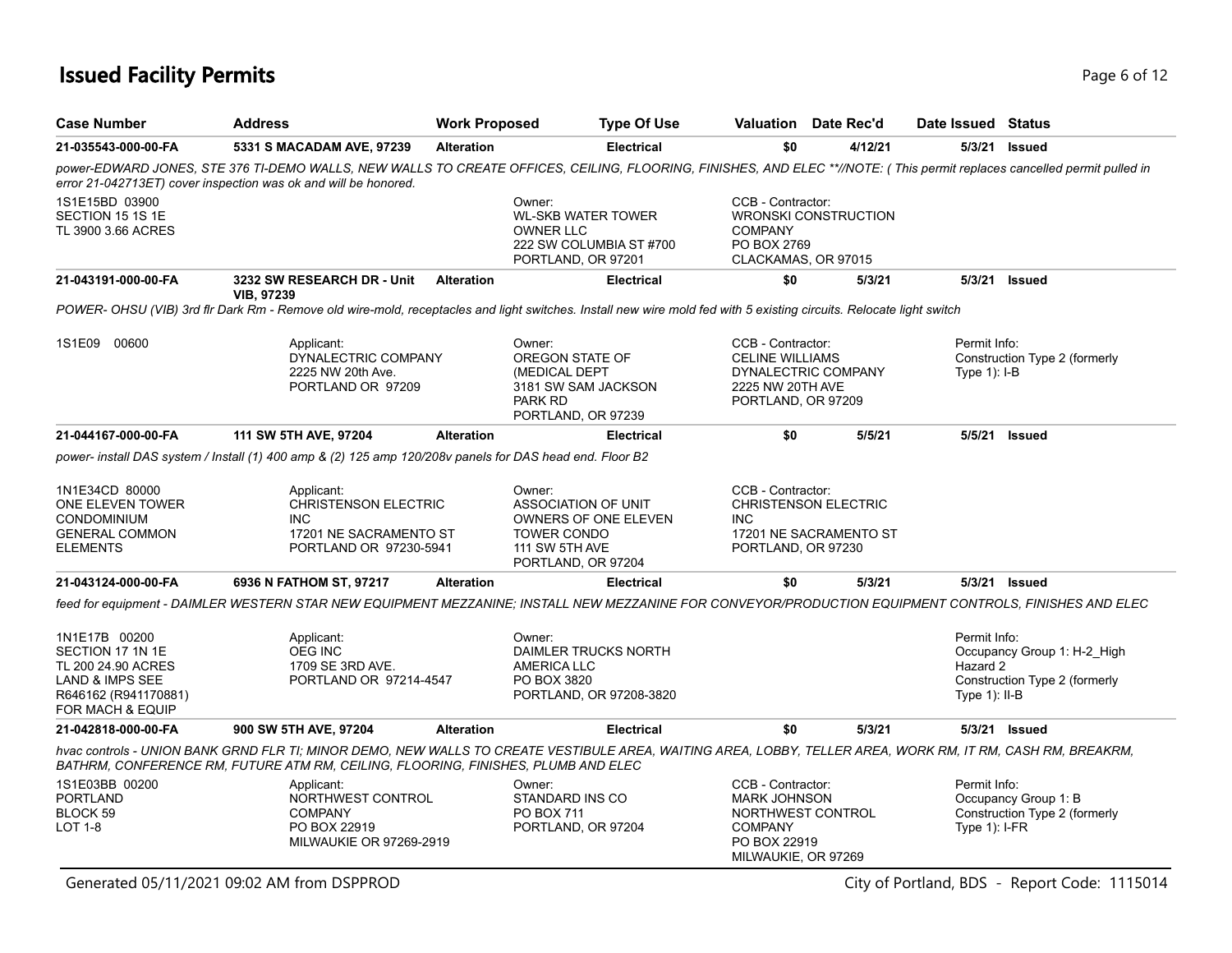### **Issued Facility Permits** Page 6 of 12

| <b>Case Number</b>                                                                                                                | <b>Address</b>                                                                                                                                                                                                                                   | <b>Work Proposed</b> |                                                                                             | <b>Type Of Use</b>                                     |                                                                                                                        | <b>Valuation</b> Date Rec'd                           | Date Issued Status                          |                                                              |
|-----------------------------------------------------------------------------------------------------------------------------------|--------------------------------------------------------------------------------------------------------------------------------------------------------------------------------------------------------------------------------------------------|----------------------|---------------------------------------------------------------------------------------------|--------------------------------------------------------|------------------------------------------------------------------------------------------------------------------------|-------------------------------------------------------|---------------------------------------------|--------------------------------------------------------------|
| 21-035543-000-00-FA                                                                                                               | 5331 S MACADAM AVE, 97239                                                                                                                                                                                                                        | <b>Alteration</b>    |                                                                                             | <b>Electrical</b>                                      | \$0                                                                                                                    | 4/12/21                                               |                                             | 5/3/21 Issued                                                |
|                                                                                                                                   | power-EDWARD JONES, STE 376 TI-DEMO WALLS, NEW WALLS TO CREATE OFFICES, CEILING, FLOORING, FINISHES, AND ELEC **//NOTE: (This permit replaces cancelled permit pulled in<br>error 21-042713ET) cover inspection was ok and will be honored.      |                      |                                                                                             |                                                        |                                                                                                                        |                                                       |                                             |                                                              |
| 1S1E15BD 03900<br>SECTION 15 1S 1E<br>TL 3900 3.66 ACRES                                                                          |                                                                                                                                                                                                                                                  |                      | Owner:<br><b>OWNER LLC</b><br>PORTLAND, OR 97201                                            | <b>WL-SKB WATER TOWER</b><br>222 SW COLUMBIA ST #700   | CCB - Contractor:<br><b>COMPANY</b><br>PO BOX 2769<br>CLACKAMAS, OR 97015                                              | <b>WRONSKI CONSTRUCTION</b>                           |                                             |                                                              |
| 21-043191-000-00-FA                                                                                                               | 3232 SW RESEARCH DR - Unit<br>VIB, 97239                                                                                                                                                                                                         | <b>Alteration</b>    |                                                                                             | <b>Electrical</b>                                      | \$0                                                                                                                    | 5/3/21                                                |                                             | 5/3/21 Issued                                                |
|                                                                                                                                   | POWER- OHSU (VIB) 3rd flr Dark Rm - Remove old wire-mold, receptacles and light switches. Install new wire mold fed with 5 existing circuits. Relocate light switch                                                                              |                      |                                                                                             |                                                        |                                                                                                                        |                                                       |                                             |                                                              |
| 1S1E09 00600                                                                                                                      | Applicant:<br>DYNALECTRIC COMPANY<br>2225 NW 20th Ave.<br>PORTLAND OR 97209                                                                                                                                                                      |                      | Owner:<br><b>OREGON STATE OF</b><br>(MEDICAL DEPT<br>PARK RD<br>PORTLAND, OR 97239          | 3181 SW SAM JACKSON                                    | CCB - Contractor:<br><b>CELINE WILLIAMS</b><br>2225 NW 20TH AVE<br>PORTLAND, OR 97209                                  | DYNALECTRIC COMPANY                                   | Permit Info:<br>Type $1$ : I-B              | Construction Type 2 (formerly                                |
| 21-044167-000-00-FA                                                                                                               | 111 SW 5TH AVE, 97204                                                                                                                                                                                                                            | <b>Alteration</b>    |                                                                                             | <b>Electrical</b>                                      | \$0                                                                                                                    | 5/5/21                                                |                                             | 5/5/21 Issued                                                |
|                                                                                                                                   | power- install DAS system / Install (1) 400 amp & (2) 125 amp 120/208v panels for DAS head end. Floor B2                                                                                                                                         |                      |                                                                                             |                                                        |                                                                                                                        |                                                       |                                             |                                                              |
| 1N1E34CD 80000<br>ONE ELEVEN TOWER<br><b>CONDOMINIUM</b><br><b>GENERAL COMMON</b><br><b>ELEMENTS</b>                              | Applicant:<br><b>CHRISTENSON ELECTRIC</b><br><b>INC</b><br>17201 NE SACRAMENTO ST<br>PORTLAND OR 97230-5941                                                                                                                                      |                      | Owner:<br>ASSOCIATION OF UNIT<br><b>TOWER CONDO</b><br>111 SW 5TH AVE<br>PORTLAND, OR 97204 | <b>OWNERS OF ONE ELEVEN</b>                            | CCB - Contractor:<br><b>INC</b><br>PORTLAND, OR 97230                                                                  | <b>CHRISTENSON ELECTRIC</b><br>17201 NE SACRAMENTO ST |                                             |                                                              |
| 21-043124-000-00-FA                                                                                                               | 6936 N FATHOM ST, 97217                                                                                                                                                                                                                          | <b>Alteration</b>    |                                                                                             | <b>Electrical</b>                                      | \$0                                                                                                                    | 5/3/21                                                |                                             | 5/3/21 <b>Issued</b>                                         |
|                                                                                                                                   | feed for equipment - DAIMLER WESTERN STAR NEW EQUIPMENT MEZZANINE; INSTALL NEW MEZZANINE FOR CONVEYOR/PRODUCTION EQUIPMENT CONTROLS, FINISHES AND ELEC                                                                                           |                      |                                                                                             |                                                        |                                                                                                                        |                                                       |                                             |                                                              |
| 1N1E17B 00200<br>SECTION 17 1N 1E<br>TL 200 24.90 ACRES<br><b>LAND &amp; IMPS SEE</b><br>R646162 (R941170881)<br>FOR MACH & EQUIP | Applicant:<br><b>OEG INC</b><br>1709 SE 3RD AVE.<br>PORTLAND OR 97214-4547                                                                                                                                                                       |                      | Owner:<br><b>AMERICA LLC</b><br>PO BOX 3820                                                 | <b>DAIMLER TRUCKS NORTH</b><br>PORTLAND, OR 97208-3820 |                                                                                                                        |                                                       | Permit Info:<br>Hazard 2<br>Type $1$ : II-B | Occupancy Group 1: H-2 High<br>Construction Type 2 (formerly |
| 21-042818-000-00-FA                                                                                                               | 900 SW 5TH AVE, 97204                                                                                                                                                                                                                            | <b>Alteration</b>    |                                                                                             | <b>Electrical</b>                                      | \$0                                                                                                                    | 5/3/21                                                |                                             | 5/3/21 Issued                                                |
|                                                                                                                                   | hvac controls - UNION BANK GRND FLR TI; MINOR DEMO, NEW WALLS TO CREATE VESTIBULE AREA, WAITING AREA, LOBBY, TELLER AREA, WORK RM, IT RM, CASH RM, BREAKRM,<br>BATHRM, CONFERENCE RM, FUTURE ATM RM, CEILING, FLOORING, FINISHES, PLUMB AND ELEC |                      |                                                                                             |                                                        |                                                                                                                        |                                                       |                                             |                                                              |
| 1S1E03BB 00200<br><b>PORTLAND</b><br>BLOCK 59<br><b>LOT 1-8</b>                                                                   | Applicant:<br>NORTHWEST CONTROL<br><b>COMPANY</b><br>PO BOX 22919<br>MILWAUKIE OR 97269-2919                                                                                                                                                     |                      | Owner:<br>STANDARD INS CO<br>PO BOX 711<br>PORTLAND, OR 97204                               |                                                        | CCB - Contractor:<br><b>MARK JOHNSON</b><br>NORTHWEST CONTROL<br><b>COMPANY</b><br>PO BOX 22919<br>MILWAUKIE, OR 97269 |                                                       | Permit Info:<br>Type $1$ : I-FR             | Occupancy Group 1: B<br>Construction Type 2 (formerly        |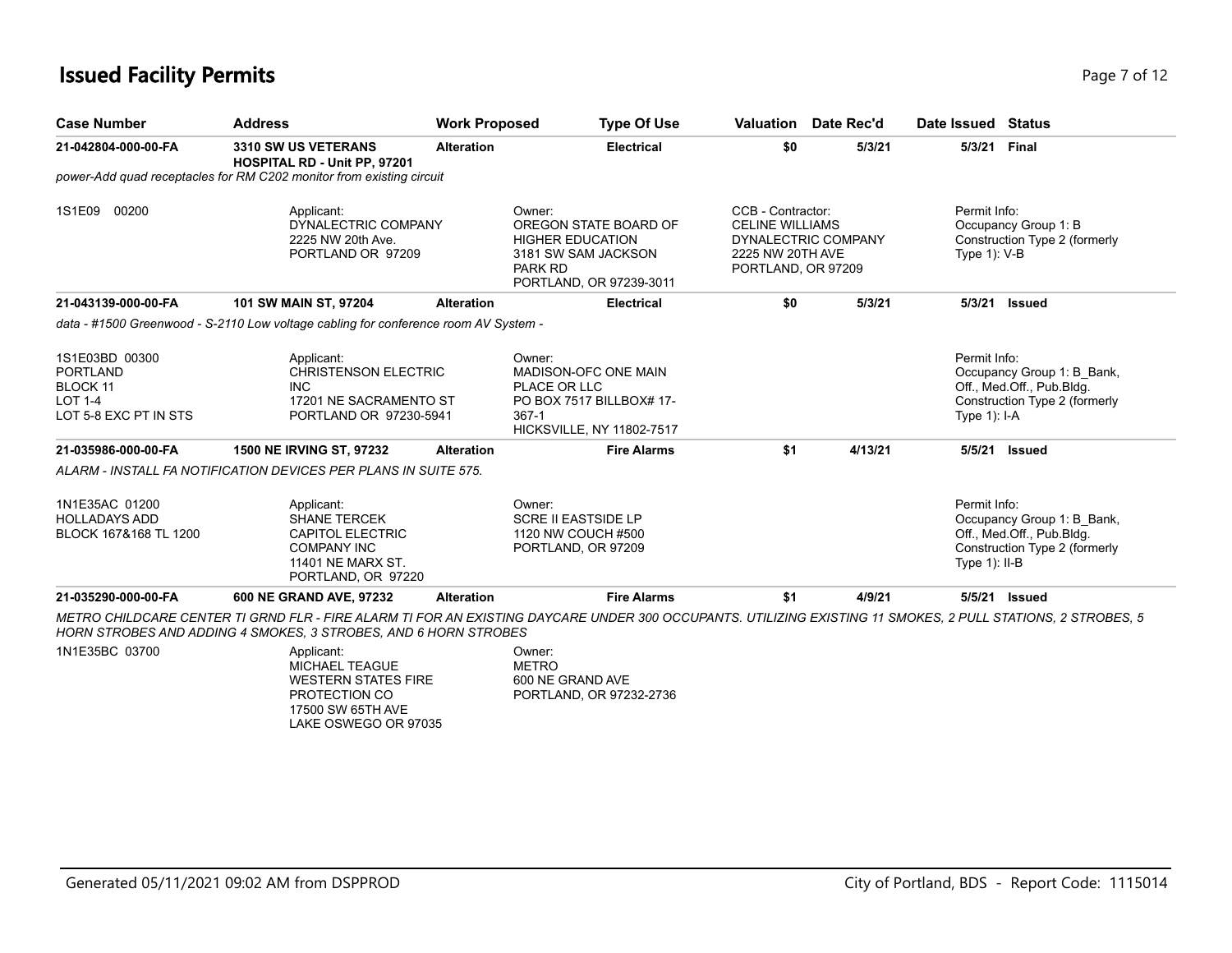#### **Issued Facility Permits** Page 7 of 12

| <b>Case Number</b>  | <b>Address</b>                                                                      | <b>Work Proposed</b> | <b>Type Of Use</b>                                                                                                      | Valuation                                                                                                    | Date Rec'd | Date Issued                     | Status                                                |
|---------------------|-------------------------------------------------------------------------------------|----------------------|-------------------------------------------------------------------------------------------------------------------------|--------------------------------------------------------------------------------------------------------------|------------|---------------------------------|-------------------------------------------------------|
| 21-042804-000-00-FA | <b>3310 SW US VETERANS</b><br><b>HOSPITAL RD - Unit PP, 97201</b>                   | <b>Alteration</b>    | <b>Electrical</b>                                                                                                       | \$0                                                                                                          | 5/3/21     | 5/3/21                          | Final                                                 |
|                     | power-Add quad receptacles for RM C202 monitor from existing circuit                |                      |                                                                                                                         |                                                                                                              |            |                                 |                                                       |
| 00200<br>1S1E09     | Applicant:<br>DYNALECTRIC COMPANY<br>2225 NW 20th Ave.<br>PORTLAND OR 97209         |                      | Owner:<br>OREGON STATE BOARD OF<br><b>HIGHER EDUCATION</b><br>3181 SW SAM JACKSON<br>PARK RD<br>PORTLAND, OR 97239-3011 | CCB - Contractor:<br><b>CELINE WILLIAMS</b><br>DYNALECTRIC COMPANY<br>2225 NW 20TH AVE<br>PORTLAND, OR 97209 |            | Permit Info:<br>Type $1$ ): V-B | Occupancy Group 1: B<br>Construction Type 2 (formerly |
| 21-043139-000-00-FA | 101 SW MAIN ST, 97204                                                               | <b>Alteration</b>    | <b>Electrical</b>                                                                                                       | \$0                                                                                                          | 5/3/21     | 5/3/21                          | Issued                                                |
|                     | data - #1500 Greenwood - S-2110 Low voltage cabling for conference room AV System - |                      |                                                                                                                         |                                                                                                              |            |                                 |                                                       |
| 1S1E03BD 00300      | Applicant:                                                                          |                      | Owner:                                                                                                                  |                                                                                                              |            | Permit Info:                    |                                                       |

| 21-035290-000-00-FA                                             | <b>600 NE GRAND AVE, 97232</b>                                                                                         | <b>Alteration</b> | <b>Fire Alarms</b>                                                               | \$1 | 4/9/21  | 5/5/21<br>Issued                                                                                                            |
|-----------------------------------------------------------------|------------------------------------------------------------------------------------------------------------------------|-------------------|----------------------------------------------------------------------------------|-----|---------|-----------------------------------------------------------------------------------------------------------------------------|
| 1N1E35AC 01200<br><b>HOLLADAYS ADD</b><br>BLOCK 167&168 TL 1200 | Applicant:<br><b>SHANE TERCEK</b><br>CAPITOL ELECTRIC<br>COMPANY INC<br><b>11401 NE MARX ST.</b><br>PORTLAND, OR 97220 |                   | Owner:<br><b>SCRE II EASTSIDE LP</b><br>1120 NW COUCH #500<br>PORTLAND, OR 97209 |     |         | Permit Info:<br>Occupancy Group 1: B_Bank,<br>Off., Med.Off., Pub.Bldg.<br>Construction Type 2 (formerly<br>Type $1$ : II-B |
|                                                                 | ALARM - INSTALL FA NOTIFICATION DEVICES PER PLANS IN SUITE 575.                                                        |                   |                                                                                  |     |         |                                                                                                                             |
| 21-035986-000-00-FA                                             | <b>1500 NE IRVING ST. 97232</b>                                                                                        | <b>Alteration</b> | <b>Fire Alarms</b>                                                               | \$1 | 4/13/21 | 5/5/21<br>Issued                                                                                                            |
| LOT 5-8 EXC PT IN STS                                           | PORTLAND OR 97230-5941                                                                                                 |                   | 367-1<br><b>HICKSVILLE, NY 11802-7517</b>                                        |     |         | Type $1$ : I-A                                                                                                              |
| <b>LOT 1-4</b>                                                  | 17201 NE SACRAMENTO ST                                                                                                 |                   | PO BOX 7517 BILLBOX# 17-                                                         |     |         | Construction Type 2 (formerly                                                                                               |
| BLOCK 11                                                        | INC.                                                                                                                   |                   | PLACE OR LLC                                                                     |     |         | Off., Med.Off., Pub.Bldg.                                                                                                   |
| 1S1E03BD 00300<br><b>PORTLAND</b>                               | Applicant:<br><b>CHRISTENSON ELECTRIC</b>                                                                              |                   | Owner:<br>MADISON-OFC ONE MAIN                                                   |     |         | Permit Info:<br>Occupancy Group 1: B Bank,                                                                                  |

*METRO CHILDCARE CENTER TI GRND FLR - FIRE ALARM TI FOR AN EXISTING DAYCARE UNDER 300 OCCUPANTS. UTILIZING EXISTING 11 SMOKES, 2 PULL STATIONS, 2 STROBES, 5 HORN STROBES AND ADDING 4 SMOKES, 3 STROBES, AND 6 HORN STROBES*

1N1E35BC 03700

Applicant: MICHAEL TEAGUE WESTERN STATES FIRE PROTECTION CO 17500 SW 65TH AVE LAKE OSWEGO OR 97035

Owner: METRO 600 NE GRAND AVE PORTLAND, OR 97232-2736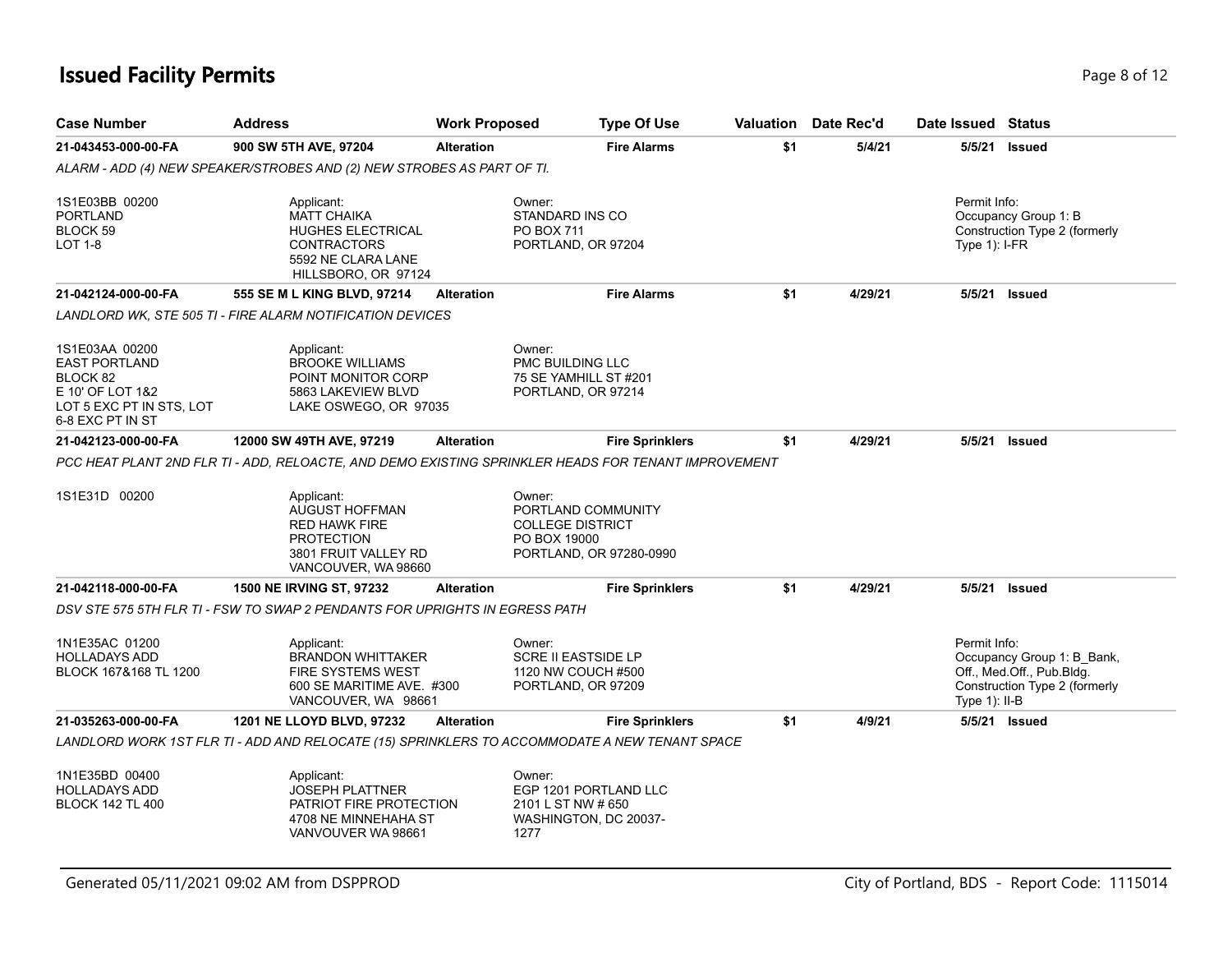### **Issued Facility Permits** Page 8 of 12

| <b>Case Number</b>                                                                                                     | <b>Address</b>                                                                                                                  | <b>Work Proposed</b> | <b>Type Of Use</b>                                                                                 |     | <b>Valuation</b> Date Rec'd | Date Issued Status               |                                                                                          |
|------------------------------------------------------------------------------------------------------------------------|---------------------------------------------------------------------------------------------------------------------------------|----------------------|----------------------------------------------------------------------------------------------------|-----|-----------------------------|----------------------------------|------------------------------------------------------------------------------------------|
| 21-043453-000-00-FA                                                                                                    | 900 SW 5TH AVE, 97204                                                                                                           | <b>Alteration</b>    | <b>Fire Alarms</b>                                                                                 | \$1 | 5/4/21                      | 5/5/21                           | <b>Issued</b>                                                                            |
|                                                                                                                        | ALARM - ADD (4) NEW SPEAKER/STROBES AND (2) NEW STROBES AS PART OF TI.                                                          |                      |                                                                                                    |     |                             |                                  |                                                                                          |
| 1S1E03BB 00200<br><b>PORTLAND</b><br>BLOCK 59<br>LOT 1-8                                                               | Applicant:<br><b>MATT CHAIKA</b><br><b>HUGHES ELECTRICAL</b><br><b>CONTRACTORS</b><br>5592 NE CLARA LANE<br>HILLSBORO, OR 97124 |                      | Owner:<br>STANDARD INS CO<br>PO BOX 711<br>PORTLAND, OR 97204                                      |     |                             | Permit Info:<br>Type $1$ : I-FR  | Occupancy Group 1: B<br>Construction Type 2 (formerly                                    |
| 21-042124-000-00-FA                                                                                                    | 555 SE M L KING BLVD, 97214                                                                                                     | <b>Alteration</b>    | <b>Fire Alarms</b>                                                                                 | \$1 | 4/29/21                     | 5/5/21                           | <b>Issued</b>                                                                            |
|                                                                                                                        | LANDLORD WK. STE 505 TI - FIRE ALARM NOTIFICATION DEVICES                                                                       |                      |                                                                                                    |     |                             |                                  |                                                                                          |
| 1S1E03AA 00200<br><b>EAST PORTLAND</b><br>BLOCK 82<br>E 10' OF LOT 1&2<br>LOT 5 EXC PT IN STS, LOT<br>6-8 EXC PT IN ST | Applicant:<br><b>BROOKE WILLIAMS</b><br>POINT MONITOR CORP<br>5863 LAKEVIEW BLVD<br>LAKE OSWEGO, OR 97035                       |                      | Owner:<br>PMC BUILDING LLC<br>75 SE YAMHILL ST #201<br>PORTLAND, OR 97214                          |     |                             |                                  |                                                                                          |
| 21-042123-000-00-FA                                                                                                    | 12000 SW 49TH AVE, 97219                                                                                                        | <b>Alteration</b>    | <b>Fire Sprinklers</b>                                                                             | \$1 | 4/29/21                     |                                  | 5/5/21 Issued                                                                            |
| 1S1E31D 00200                                                                                                          | Applicant:<br><b>AUGUST HOFFMAN</b><br><b>RED HAWK FIRE</b><br><b>PROTECTION</b><br>3801 FRUIT VALLEY RD<br>VANCOUVER, WA 98660 |                      | Owner:<br>PORTLAND COMMUNITY<br><b>COLLEGE DISTRICT</b><br>PO BOX 19000<br>PORTLAND, OR 97280-0990 |     |                             |                                  |                                                                                          |
| 21-042118-000-00-FA                                                                                                    | <b>1500 NE IRVING ST, 97232</b>                                                                                                 | <b>Alteration</b>    | <b>Fire Sprinklers</b>                                                                             | \$1 | 4/29/21                     | 5/5/21                           | Issued                                                                                   |
|                                                                                                                        | DSV STE 575 5TH FLR TI - FSW TO SWAP 2 PENDANTS FOR UPRIGHTS IN EGRESS PATH                                                     |                      |                                                                                                    |     |                             |                                  |                                                                                          |
| 1N1E35AC 01200<br><b>HOLLADAYS ADD</b><br>BLOCK 167&168 TL 1200                                                        | Applicant:<br><b>BRANDON WHITTAKER</b><br><b>FIRE SYSTEMS WEST</b><br>600 SE MARITIME AVE. #300<br>VANCOUVER, WA 98661          |                      | Owner:<br><b>SCRE II EASTSIDE LP</b><br>1120 NW COUCH #500<br>PORTLAND, OR 97209                   |     |                             | Permit Info:<br>Type $1$ ): II-B | Occupancy Group 1: B Bank,<br>Off., Med.Off., Pub.Bldg.<br>Construction Type 2 (formerly |
| 21-035263-000-00-FA                                                                                                    | <b>1201 NE LLOYD BLVD, 97232</b>                                                                                                | <b>Alteration</b>    | <b>Fire Sprinklers</b>                                                                             | \$1 | 4/9/21                      |                                  | 5/5/21 Issued                                                                            |
|                                                                                                                        | LANDLORD WORK 1ST FLR TI - ADD AND RELOCATE (15) SPRINKLERS TO ACCOMMODATE A NEW TENANT SPACE                                   |                      |                                                                                                    |     |                             |                                  |                                                                                          |
| 1N1E35BD 00400<br><b>HOLLADAYS ADD</b><br><b>BLOCK 142 TL 400</b>                                                      | Applicant:<br><b>JOSEPH PLATTNER</b><br>PATRIOT FIRE PROTECTION<br>4708 NE MINNEHAHA ST<br>VANVOUVER WA 98661                   |                      | Owner:<br>EGP 1201 PORTLAND LLC<br>2101 L ST NW # 650<br>WASHINGTON, DC 20037-<br>1277             |     |                             |                                  |                                                                                          |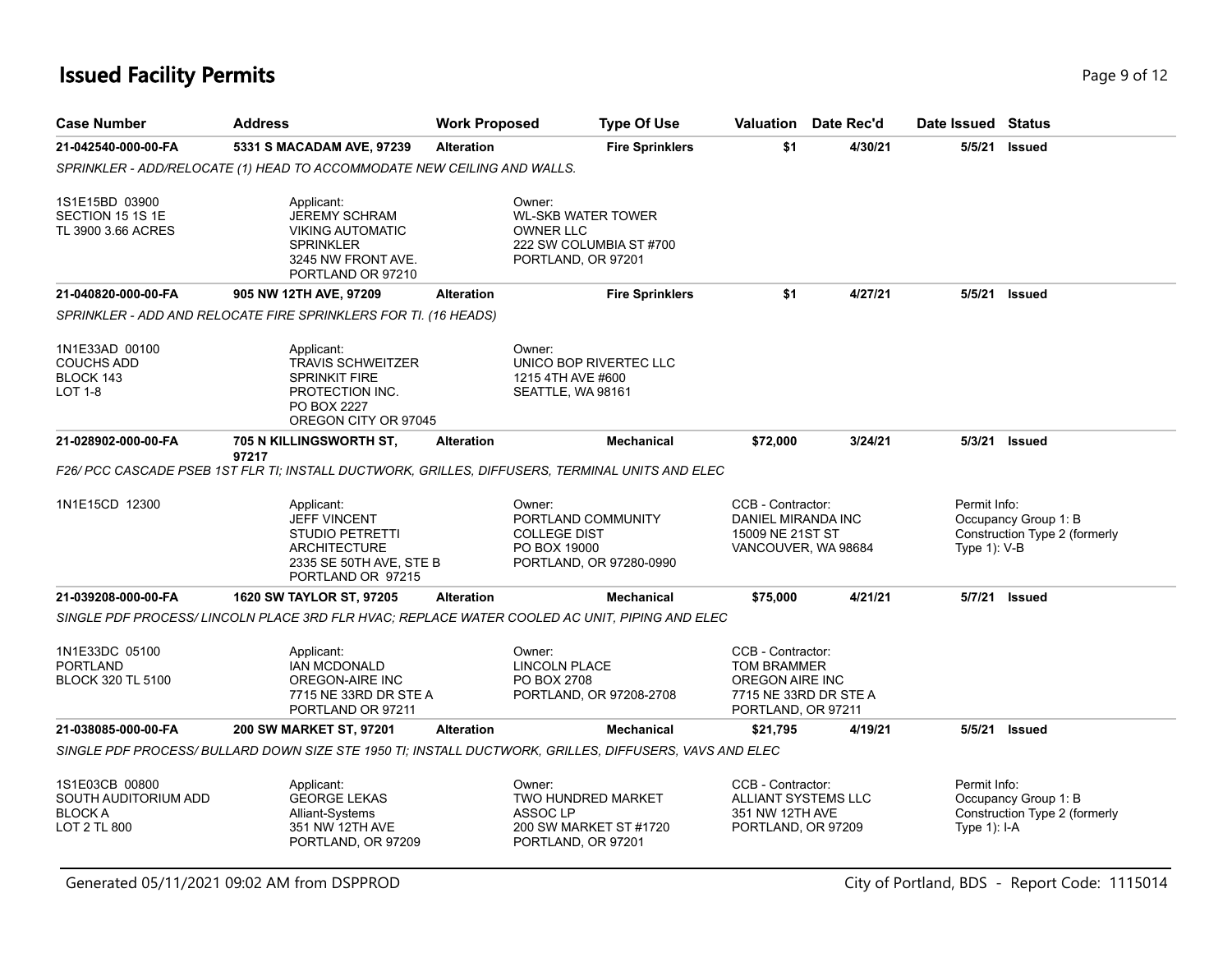### **Issued Facility Permits** Page 9 of 12

| <b>Case Number</b>                                                       | <b>Address</b>                                                                                                                  | <b>Work Proposed</b> |                                                                                                          | <b>Type Of Use</b>     | Valuation                                                                                                 | Date Rec'd | Date Issued Status              |                                                       |
|--------------------------------------------------------------------------|---------------------------------------------------------------------------------------------------------------------------------|----------------------|----------------------------------------------------------------------------------------------------------|------------------------|-----------------------------------------------------------------------------------------------------------|------------|---------------------------------|-------------------------------------------------------|
| 21-042540-000-00-FA                                                      | 5331 S MACADAM AVE, 97239                                                                                                       | <b>Alteration</b>    |                                                                                                          | <b>Fire Sprinklers</b> | \$1                                                                                                       | 4/30/21    | 5/5/21                          | <b>Issued</b>                                         |
|                                                                          | SPRINKLER - ADD/RELOCATE (1) HEAD TO ACCOMMODATE NEW CEILING AND WALLS.                                                         |                      |                                                                                                          |                        |                                                                                                           |            |                                 |                                                       |
| 1S1E15BD 03900<br>SECTION 15 1S 1E<br>TL 3900 3.66 ACRES                 | Applicant:<br><b>JEREMY SCHRAM</b><br><b>VIKING AUTOMATIC</b><br><b>SPRINKLER</b><br>3245 NW FRONT AVE.<br>PORTLAND OR 97210    |                      | Owner:<br><b>WL-SKB WATER TOWER</b><br><b>OWNER LLC</b><br>222 SW COLUMBIA ST #700<br>PORTLAND, OR 97201 |                        |                                                                                                           |            |                                 |                                                       |
| 21-040820-000-00-FA                                                      | 905 NW 12TH AVE, 97209                                                                                                          | <b>Alteration</b>    |                                                                                                          | <b>Fire Sprinklers</b> | \$1                                                                                                       | 4/27/21    | 5/5/21                          | Issued                                                |
|                                                                          | SPRINKLER - ADD AND RELOCATE FIRE SPRINKLERS FOR TI. (16 HEADS)                                                                 |                      |                                                                                                          |                        |                                                                                                           |            |                                 |                                                       |
| 1N1E33AD 00100<br><b>COUCHS ADD</b><br>BLOCK 143<br><b>LOT 1-8</b>       | Applicant:<br><b>TRAVIS SCHWEITZER</b><br><b>SPRINKIT FIRE</b><br>PROTECTION INC.<br><b>PO BOX 2227</b><br>OREGON CITY OR 97045 |                      | Owner:<br>UNICO BOP RIVERTEC LLC<br>1215 4TH AVE #600<br>SEATTLE, WA 98161                               |                        |                                                                                                           |            |                                 |                                                       |
| 21-028902-000-00-FA                                                      | 705 N KILLINGSWORTH ST,                                                                                                         | <b>Alteration</b>    |                                                                                                          | <b>Mechanical</b>      | \$72,000                                                                                                  | 3/24/21    | 5/3/21                          | Issued                                                |
|                                                                          | 97217<br>F26/ PCC CASCADE PSEB 1ST FLR TI: INSTALL DUCTWORK, GRILLES, DIFFUSERS, TERMINAL UNITS AND ELEC                        |                      |                                                                                                          |                        |                                                                                                           |            |                                 |                                                       |
| 1N1E15CD 12300                                                           | Applicant:<br><b>JEFF VINCENT</b><br><b>STUDIO PETRETTI</b><br>ARCHITECTURE<br>2335 SE 50TH AVE, STE B<br>PORTLAND OR 97215     |                      | Owner:<br>PORTLAND COMMUNITY<br><b>COLLEGE DIST</b><br>PO BOX 19000<br>PORTLAND, OR 97280-0990           |                        | CCB - Contractor:<br><b>DANIEL MIRANDA INC</b><br>15009 NE 21ST ST<br>VANCOUVER, WA 98684                 |            | Permit Info:<br>Type $1$ ): V-B | Occupancy Group 1: B<br>Construction Type 2 (formerly |
| 21-039208-000-00-FA                                                      | 1620 SW TAYLOR ST, 97205                                                                                                        | <b>Alteration</b>    |                                                                                                          | <b>Mechanical</b>      | \$75,000                                                                                                  | 4/21/21    | 5/7/21                          | <b>Issued</b>                                         |
|                                                                          | SINGLE PDF PROCESS/LINCOLN PLACE 3RD FLR HVAC; REPLACE WATER COOLED AC UNIT, PIPING AND ELEC                                    |                      |                                                                                                          |                        |                                                                                                           |            |                                 |                                                       |
| 1N1E33DC 05100<br><b>PORTLAND</b><br><b>BLOCK 320 TL 5100</b>            | Applicant:<br><b>IAN MCDONALD</b><br>OREGON-AIRE INC<br>7715 NE 33RD DR STE A<br>PORTLAND OR 97211                              |                      | Owner:<br>LINCOLN PLACE<br>PO BOX 2708<br>PORTLAND, OR 97208-2708                                        |                        | CCB - Contractor:<br><b>TOM BRAMMER</b><br>OREGON AIRE INC<br>7715 NE 33RD DR STE A<br>PORTLAND, OR 97211 |            |                                 |                                                       |
| 21-038085-000-00-FA                                                      | <b>200 SW MARKET ST, 97201</b>                                                                                                  | <b>Alteration</b>    |                                                                                                          | Mechanical             | \$21,795                                                                                                  | 4/19/21    | 5/5/21                          | Issued                                                |
|                                                                          | SINGLE PDF PROCESS/ BULLARD DOWN SIZE STE 1950 TI; INSTALL DUCTWORK, GRILLES, DIFFUSERS, VAVS AND ELEC                          |                      |                                                                                                          |                        |                                                                                                           |            |                                 |                                                       |
| 1S1E03CB 00800<br>SOUTH AUDITORIUM ADD<br><b>BLOCK A</b><br>LOT 2 TL 800 | Applicant:<br><b>GEORGE LEKAS</b><br>Alliant-Systems<br>351 NW 12TH AVE<br>PORTLAND, OR 97209                                   |                      | Owner:<br><b>TWO HUNDRED MARKET</b><br>ASSOC LP<br>200 SW MARKET ST #1720<br>PORTLAND, OR 97201          |                        | CCB - Contractor:<br><b>ALLIANT SYSTEMS LLC</b><br>351 NW 12TH AVE<br>PORTLAND, OR 97209                  |            | Permit Info:<br>Type $1$ : I-A  | Occupancy Group 1: B<br>Construction Type 2 (formerly |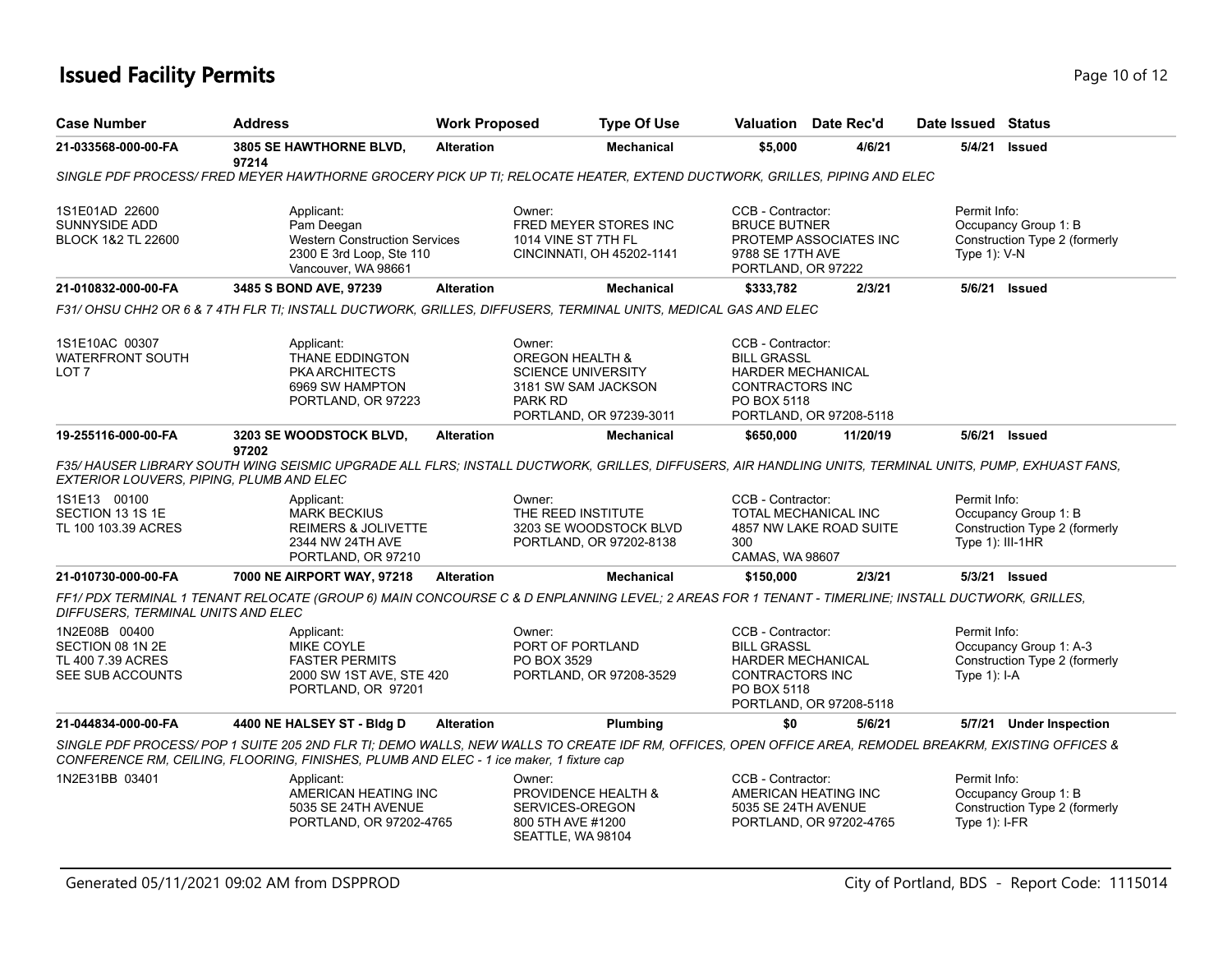# **Issued Facility Permits** Page 10 of 12

| <b>Case Number</b>                                                                                  | <b>Address</b>                                                                                                                                                                                                                                                         | <b>Work Proposed</b> | <b>Type Of Use</b>                                                                                                             |                                                                                                              | Valuation Date Rec'd                            | Date Issued Status               |                                                         |
|-----------------------------------------------------------------------------------------------------|------------------------------------------------------------------------------------------------------------------------------------------------------------------------------------------------------------------------------------------------------------------------|----------------------|--------------------------------------------------------------------------------------------------------------------------------|--------------------------------------------------------------------------------------------------------------|-------------------------------------------------|----------------------------------|---------------------------------------------------------|
| 21-033568-000-00-FA                                                                                 | 3805 SE HAWTHORNE BLVD,<br>97214                                                                                                                                                                                                                                       | <b>Alteration</b>    | <b>Mechanical</b>                                                                                                              | \$5,000                                                                                                      | 4/6/21                                          | 5/4/21                           | <b>Issued</b>                                           |
|                                                                                                     | SINGLE PDF PROCESS/ FRED MEYER HAWTHORNE GROCERY PICK UP TI; RELOCATE HEATER, EXTEND DUCTWORK, GRILLES, PIPING AND ELEC                                                                                                                                                |                      |                                                                                                                                |                                                                                                              |                                                 |                                  |                                                         |
| 1S1E01AD 22600<br><b>SUNNYSIDE ADD</b><br><b>BLOCK 1&amp;2 TL 22600</b>                             | Applicant:<br>Pam Deegan<br><b>Western Construction Services</b><br>2300 E 3rd Loop, Ste 110<br>Vancouver, WA 98661                                                                                                                                                    |                      | Owner:<br>FRED MEYER STORES INC<br>1014 VINE ST 7TH FL<br>CINCINNATI, OH 45202-1141                                            | CCB - Contractor:<br><b>BRUCE BUTNER</b><br>9788 SE 17TH AVE<br>PORTLAND, OR 97222                           | PROTEMP ASSOCIATES INC                          | Permit Info:<br>Type $1$ : V-N   | Occupancy Group 1: B<br>Construction Type 2 (formerly   |
| 21-010832-000-00-FA                                                                                 | 3485 S BOND AVE, 97239                                                                                                                                                                                                                                                 | <b>Alteration</b>    | <b>Mechanical</b>                                                                                                              | \$333,782                                                                                                    | 2/3/21                                          |                                  | 5/6/21 Issued                                           |
|                                                                                                     | F31/ OHSU CHH2 OR 6 & 7 4TH FLR TI; INSTALL DUCTWORK, GRILLES, DIFFUSERS, TERMINAL UNITS, MEDICAL GAS AND ELEC                                                                                                                                                         |                      |                                                                                                                                |                                                                                                              |                                                 |                                  |                                                         |
| 1S1E10AC 00307<br><b>WATERFRONT SOUTH</b><br>LOT <sub>7</sub>                                       | Applicant:<br>THANE EDDINGTON<br><b>PKA ARCHITECTS</b><br>6969 SW HAMPTON<br>PORTLAND, OR 97223                                                                                                                                                                        |                      | Owner:<br><b>OREGON HEALTH &amp;</b><br><b>SCIENCE UNIVERSITY</b><br>3181 SW SAM JACKSON<br>PARK RD<br>PORTLAND, OR 97239-3011 | CCB - Contractor:<br><b>BILL GRASSL</b><br><b>HARDER MECHANICAL</b><br>CONTRACTORS INC<br>PO BOX 5118        | PORTLAND, OR 97208-5118                         |                                  |                                                         |
| 19-255116-000-00-FA                                                                                 | 3203 SE WOODSTOCK BLVD,<br>97202                                                                                                                                                                                                                                       | <b>Alteration</b>    | <b>Mechanical</b>                                                                                                              | \$650,000                                                                                                    | 11/20/19                                        |                                  | 5/6/21 Issued                                           |
| EXTERIOR LOUVERS, PIPING, PLUMB AND ELEC<br>1S1E13 00100<br>SECTION 13 1S 1E<br>TL 100 103.39 ACRES | F35/HAUSER LIBRARY SOUTH WING SEISMIC UPGRADE ALL FLRS; INSTALL DUCTWORK, GRILLES, DIFFUSERS, AIR HANDLING UNITS, TERMINAL UNITS, PUMP, EXHUAST FANS,<br>Applicant:<br><b>MARK BECKIUS</b><br><b>REIMERS &amp; JOLIVETTE</b><br>2344 NW 24TH AVE<br>PORTLAND, OR 97210 |                      | Owner:<br>THE REED INSTITUTE<br>3203 SE WOODSTOCK BLVD<br>PORTLAND, OR 97202-8138                                              | CCB - Contractor:<br>300<br>CAMAS, WA 98607                                                                  | TOTAL MECHANICAL INC<br>4857 NW LAKE ROAD SUITE | Permit Info:<br>Type 1): III-1HR | Occupancy Group 1: B<br>Construction Type 2 (formerly   |
| 21-010730-000-00-FA                                                                                 | 7000 NE AIRPORT WAY, 97218                                                                                                                                                                                                                                             | <b>Alteration</b>    | <b>Mechanical</b>                                                                                                              | \$150,000                                                                                                    | 2/3/21                                          |                                  | 5/3/21 Issued                                           |
| DIFFUSERS, TERMINAL UNITS AND ELEC                                                                  | FF1/PDX TERMINAL 1 TENANT RELOCATE (GROUP 6) MAIN CONCOURSE C & D ENPLANNING LEVEL; 2 AREAS FOR 1 TENANT - TIMERLINE; INSTALL DUCTWORK, GRILLES,                                                                                                                       |                      |                                                                                                                                |                                                                                                              |                                                 |                                  |                                                         |
| 1N2E08B 00400<br>SECTION 08 1N 2E<br>TL 400 7.39 ACRES<br>SEE SUB ACCOUNTS                          | Applicant:<br><b>MIKE COYLE</b><br><b>FASTER PERMITS</b><br>2000 SW 1ST AVE, STE 420<br>PORTLAND, OR 97201                                                                                                                                                             |                      | Owner:<br>PORT OF PORTLAND<br>PO BOX 3529<br>PORTLAND, OR 97208-3529                                                           | CCB - Contractor:<br><b>BILL GRASSL</b><br><b>HARDER MECHANICAL</b><br><b>CONTRACTORS INC</b><br>PO BOX 5118 | PORTLAND, OR 97208-5118                         | Permit Info:<br>Type 1): I-A     | Occupancy Group 1: A-3<br>Construction Type 2 (formerly |
| 21-044834-000-00-FA                                                                                 | 4400 NE HALSEY ST - Bldg D                                                                                                                                                                                                                                             | <b>Alteration</b>    | <b>Plumbing</b>                                                                                                                | \$0                                                                                                          | 5/6/21                                          |                                  | 5/7/21 Under Inspection                                 |
|                                                                                                     | SINGLE PDF PROCESS/POP 1 SUITE 205 2ND FLR TI; DEMO WALLS, NEW WALLS TO CREATE IDF RM, OFFICES, OPEN OFFICE AREA, REMODEL BREAKRM, EXISTING OFFICES &<br>CONFERENCE RM, CEILING, FLOORING, FINISHES, PLUMB AND ELEC - 1 ice maker, 1 fixture cap                       |                      |                                                                                                                                |                                                                                                              |                                                 |                                  |                                                         |
| 1N2E31BB 03401                                                                                      | Applicant:<br>AMERICAN HEATING INC<br>5035 SE 24TH AVENUE<br>PORTLAND, OR 97202-4765                                                                                                                                                                                   |                      | Owner:<br>PROVIDENCE HEALTH &<br>SERVICES-OREGON<br>800 5TH AVE #1200<br>SEATTLE, WA 98104                                     | CCB - Contractor:<br>5035 SE 24TH AVENUE                                                                     | AMERICAN HEATING INC<br>PORTLAND, OR 97202-4765 | Permit Info:<br>Type $1$ : I-FR  | Occupancy Group 1: B<br>Construction Type 2 (formerly   |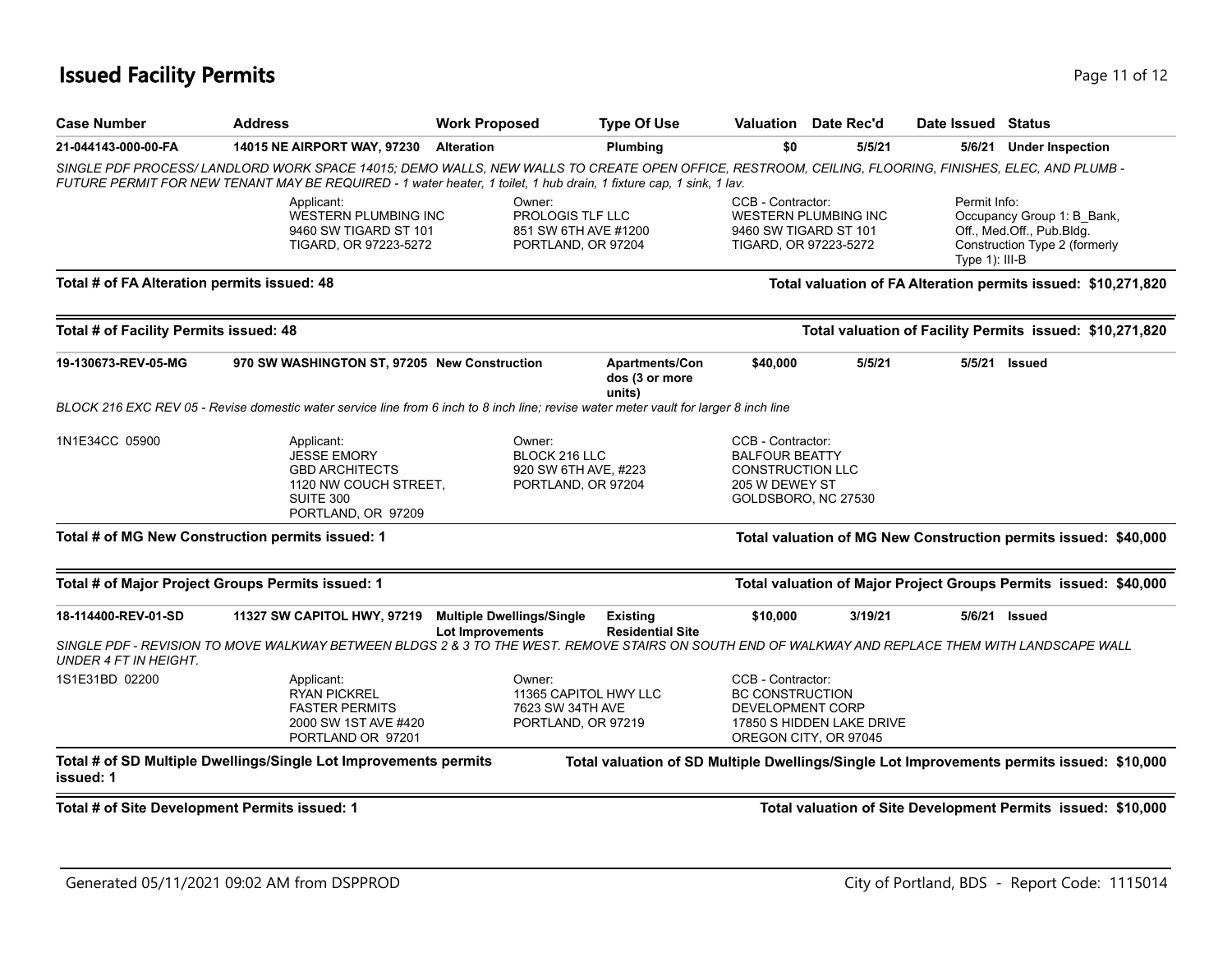### **Issued Facility Permits** Provide the Contract of the Page 11 of 12

| <b>Case Number</b>                            | <b>Address</b>                                                                                                                                                                                                                                                              | <b>Work Proposed</b>                                                      | <b>Type Of Use</b>                                | Valuation                                                                                                      | Date Rec'd                                         | Date Issued Status                |                                                                                           |
|-----------------------------------------------|-----------------------------------------------------------------------------------------------------------------------------------------------------------------------------------------------------------------------------------------------------------------------------|---------------------------------------------------------------------------|---------------------------------------------------|----------------------------------------------------------------------------------------------------------------|----------------------------------------------------|-----------------------------------|-------------------------------------------------------------------------------------------|
| 21-044143-000-00-FA                           | <b>14015 NE AIRPORT WAY, 97230</b>                                                                                                                                                                                                                                          | <b>Alteration</b>                                                         | Plumbing                                          | \$0                                                                                                            | 5/5/21                                             |                                   | 5/6/21 Under Inspection                                                                   |
|                                               | SINGLE PDF PROCESS/ LANDLORD WORK SPACE 14015; DEMO WALLS, NEW WALLS TO CREATE OPEN OFFICE, RESTROOM, CEILING, FLOORING, FINISHES, ELEC, AND PLUMB -<br>FUTURE PERMIT FOR NEW TENANT MAY BE REQUIRED - 1 water heater, 1 toilet, 1 hub drain, 1 fixture cap, 1 sink, 1 lav. |                                                                           |                                                   |                                                                                                                |                                                    |                                   |                                                                                           |
|                                               | Applicant:<br>WESTERN PLUMBING INC<br>9460 SW TIGARD ST 101<br>TIGARD, OR 97223-5272                                                                                                                                                                                        | Owner:<br>PROLOGIS TLF LLC<br>851 SW 6TH AVE #1200<br>PORTLAND, OR 97204  |                                                   | CCB - Contractor:<br>9460 SW TIGARD ST 101<br>TIGARD, OR 97223-5272                                            | <b>WESTERN PLUMBING INC</b>                        | Permit Info:<br>Type $1$ ): III-B | Occupancy Group 1: B_Bank,<br>Off., Med.Off., Pub.Bldg.<br>Construction Type 2 (formerly  |
| Total # of FA Alteration permits issued: 48   |                                                                                                                                                                                                                                                                             |                                                                           |                                                   |                                                                                                                |                                                    |                                   | Total valuation of FA Alteration permits issued: \$10,271,820                             |
| Total # of Facility Permits issued: 48        |                                                                                                                                                                                                                                                                             |                                                                           |                                                   |                                                                                                                |                                                    |                                   | Total valuation of Facility Permits issued: \$10,271,820                                  |
| 19-130673-REV-05-MG                           | 970 SW WASHINGTON ST, 97205 New Construction                                                                                                                                                                                                                                |                                                                           | <b>Apartments/Con</b><br>dos (3 or more<br>units) | \$40,000                                                                                                       | 5/5/21                                             |                                   | 5/5/21 Issued                                                                             |
|                                               | BLOCK 216 EXC REV 05 - Revise domestic water service line from 6 inch to 8 inch line; revise water meter vault for larger 8 inch line                                                                                                                                       |                                                                           |                                                   |                                                                                                                |                                                    |                                   |                                                                                           |
| 1N1E34CC 05900                                | Applicant:<br><b>JESSE EMORY</b><br><b>GBD ARCHITECTS</b><br>1120 NW COUCH STREET,<br><b>SUITE 300</b><br>PORTLAND, OR 97209                                                                                                                                                | Owner:<br>BLOCK 216 LLC<br>920 SW 6TH AVE, #223<br>PORTLAND, OR 97204     |                                                   | CCB - Contractor:<br><b>BALFOUR BEATTY</b><br><b>CONSTRUCTION LLC</b><br>205 W DEWEY ST<br>GOLDSBORO, NC 27530 |                                                    |                                   |                                                                                           |
|                                               | Total # of MG New Construction permits issued: 1                                                                                                                                                                                                                            |                                                                           |                                                   |                                                                                                                |                                                    |                                   | Total valuation of MG New Construction permits issued: \$40,000                           |
|                                               | Total # of Major Project Groups Permits issued: 1                                                                                                                                                                                                                           |                                                                           |                                                   |                                                                                                                |                                                    |                                   | Total valuation of Major Project Groups Permits issued: \$40,000                          |
| 18-114400-REV-01-SD                           | <b>11327 SW CAPITOL HWY, 97219</b>                                                                                                                                                                                                                                          | <b>Multiple Dwellings/Single</b><br><b>Lot Improvements</b>               | <b>Existing</b><br><b>Residential Site</b>        | \$10,000                                                                                                       | 3/19/21                                            |                                   | 5/6/21 Issued                                                                             |
| <b>UNDER 4 FT IN HEIGHT.</b>                  | SINGLE PDF - REVISION TO MOVE WALKWAY BETWEEN BLDGS 2 & 3 TO THE WEST. REMOVE STAIRS ON SOUTH END OF WALKWAY AND REPLACE THEM WITH LANDSCAPE WALL                                                                                                                           |                                                                           |                                                   |                                                                                                                |                                                    |                                   |                                                                                           |
| 1S1E31BD 02200                                | Applicant:<br><b>RYAN PICKREL</b><br><b>FASTER PERMITS</b><br>2000 SW 1ST AVE #420<br>PORTLAND OR 97201                                                                                                                                                                     | Owner:<br>11365 CAPITOL HWY LLC<br>7623 SW 34TH AVE<br>PORTLAND, OR 97219 |                                                   | CCB - Contractor:<br><b>BC CONSTRUCTION</b><br>DEVELOPMENT CORP                                                | 17850 S HIDDEN LAKE DRIVE<br>OREGON CITY, OR 97045 |                                   |                                                                                           |
| issued: 1                                     | Total # of SD Multiple Dwellings/Single Lot Improvements permits                                                                                                                                                                                                            |                                                                           |                                                   |                                                                                                                |                                                    |                                   | Total valuation of SD Multiple Dwellings/Single Lot Improvements permits issued: \$10,000 |
| Total # of Site Development Permits issued: 1 |                                                                                                                                                                                                                                                                             |                                                                           |                                                   |                                                                                                                |                                                    |                                   | Total valuation of Site Development Permits issued: \$10,000                              |